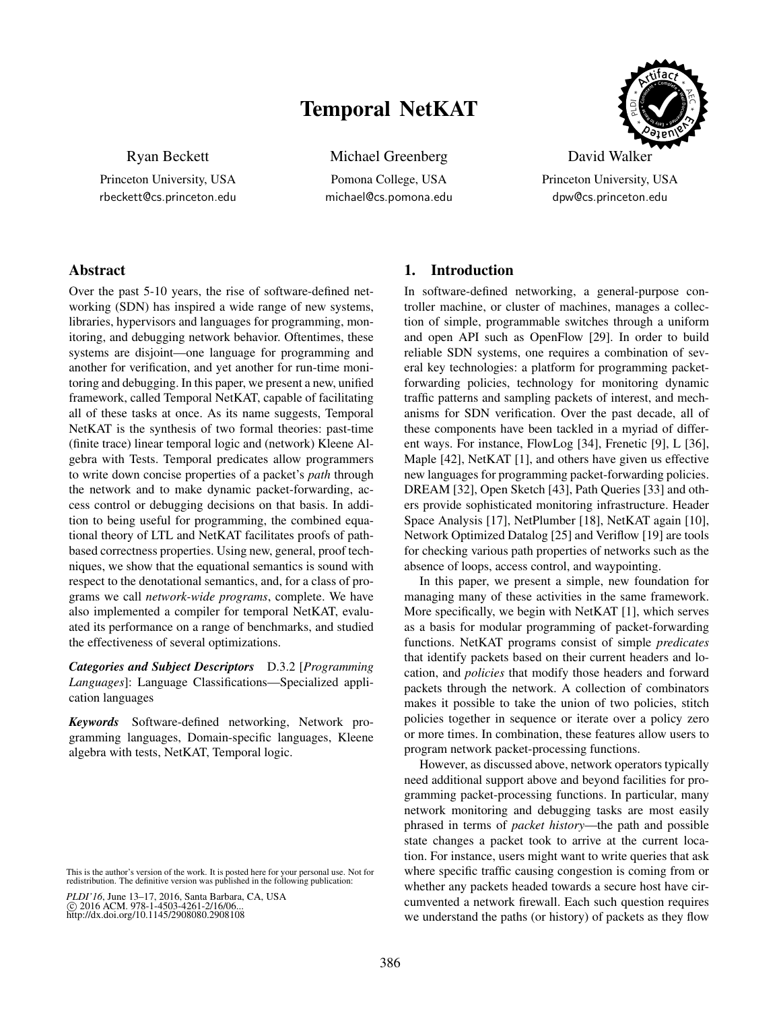# Temporal NetKAT



Ryan Beckett

Princeton University, USA rbeckett@cs.princeton.edu Michael Greenberg

Pomona College, USA michael@cs.pomona.edu

David Walker Princeton University, USA dpw@cs.princeton.edu

# Abstract

Over the past 5-10 years, the rise of software-defined networking (SDN) has inspired a wide range of new systems, libraries, hypervisors and languages for programming, monitoring, and debugging network behavior. Oftentimes, these systems are disjoint—one language for programming and another for verification, and yet another for run-time monitoring and debugging. In this paper, we present a new, unified framework, called Temporal NetKAT, capable of facilitating all of these tasks at once. As its name suggests, Temporal NetKAT is the synthesis of two formal theories: past-time (finite trace) linear temporal logic and (network) Kleene Algebra with Tests. Temporal predicates allow programmers to write down concise properties of a packet's *path* through the network and to make dynamic packet-forwarding, access control or debugging decisions on that basis. In addition to being useful for programming, the combined equational theory of LTL and NetKAT facilitates proofs of pathbased correctness properties. Using new, general, proof techniques, we show that the equational semantics is sound with respect to the denotational semantics, and, for a class of programs we call *network-wide programs*, complete. We have also implemented a compiler for temporal NetKAT, evaluated its performance on a range of benchmarks, and studied the effectiveness of several optimizations.

*Categories and Subject Descriptors* D.3.2 [*Programming Languages*]: Language Classifications—Specialized application languages

*Keywords* Software-defined networking, Network programming languages, Domain-specific languages, Kleene algebra with tests, NetKAT, Temporal logic.

*PLDI'16*, June 13–17, 2016, Santa Barbara, CA, USA c 2016 ACM. 978-1-4503-4261-2/16/06... http://dx.doi.org/10.1145/2908080.2908108

### 1. Introduction

In software-defined networking, a general-purpose controller machine, or cluster of machines, manages a collection of simple, programmable switches through a uniform and open API such as OpenFlow [\[29\]](#page-15-0). In order to build reliable SDN systems, one requires a combination of several key technologies: a platform for programming packetforwarding policies, technology for monitoring dynamic traffic patterns and sampling packets of interest, and mechanisms for SDN verification. Over the past decade, all of these components have been tackled in a myriad of different ways. For instance, FlowLog [\[34\]](#page-15-1), Frenetic [\[9\]](#page-14-0), L [\[36\]](#page-15-2), Maple [\[42\]](#page-15-3), NetKAT [\[1\]](#page-14-1), and others have given us effective new languages for programming packet-forwarding policies. DREAM [\[32\]](#page-15-4), Open Sketch [\[43\]](#page-15-5), Path Queries [\[33\]](#page-15-6) and others provide sophisticated monitoring infrastructure. Header Space Analysis [\[17\]](#page-14-2), NetPlumber [\[18\]](#page-14-3), NetKAT again [\[10\]](#page-14-4), Network Optimized Datalog [\[25\]](#page-15-7) and Veriflow [\[19\]](#page-14-5) are tools for checking various path properties of networks such as the absence of loops, access control, and waypointing.

In this paper, we present a simple, new foundation for managing many of these activities in the same framework. More specifically, we begin with NetKAT [\[1\]](#page-14-1), which serves as a basis for modular programming of packet-forwarding functions. NetKAT programs consist of simple *predicates* that identify packets based on their current headers and location, and *policies* that modify those headers and forward packets through the network. A collection of combinators makes it possible to take the union of two policies, stitch policies together in sequence or iterate over a policy zero or more times. In combination, these features allow users to program network packet-processing functions.

However, as discussed above, network operators typically need additional support above and beyond facilities for programming packet-processing functions. In particular, many network monitoring and debugging tasks are most easily phrased in terms of *packet history*—the path and possible state changes a packet took to arrive at the current location. For instance, users might want to write queries that ask where specific traffic causing congestion is coming from or whether any packets headed towards a secure host have circumvented a network firewall. Each such question requires we understand the paths (or history) of packets as they flow

This is the author's version of the work. It is posted here for your personal use. Not for redistribution. The definitive version was published in the following publication: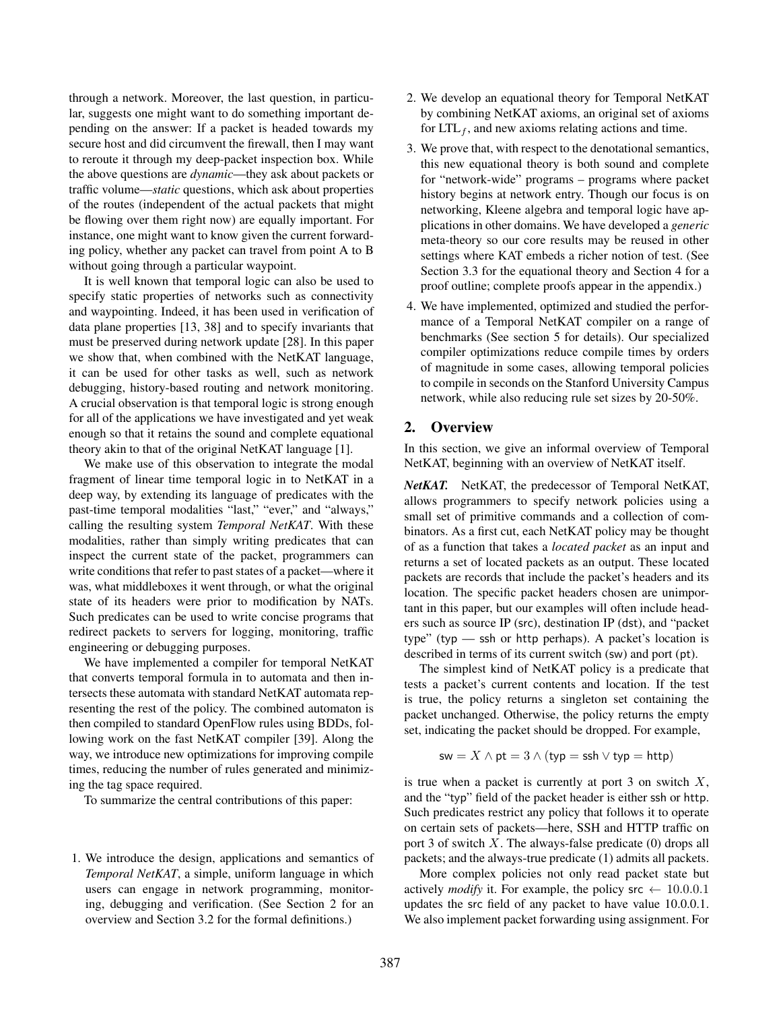through a network. Moreover, the last question, in particular, suggests one might want to do something important depending on the answer: If a packet is headed towards my secure host and did circumvent the firewall, then I may want to reroute it through my deep-packet inspection box. While the above questions are *dynamic*—they ask about packets or traffic volume—*static* questions, which ask about properties of the routes (independent of the actual packets that might be flowing over them right now) are equally important. For instance, one might want to know given the current forwarding policy, whether any packet can travel from point A to B without going through a particular waypoint.

It is well known that temporal logic can also be used to specify static properties of networks such as connectivity and waypointing. Indeed, it has been used in verification of data plane properties [\[13,](#page-14-6) [38\]](#page-15-8) and to specify invariants that must be preserved during network update [\[28\]](#page-15-9). In this paper we show that, when combined with the NetKAT language, it can be used for other tasks as well, such as network debugging, history-based routing and network monitoring. A crucial observation is that temporal logic is strong enough for all of the applications we have investigated and yet weak enough so that it retains the sound and complete equational theory akin to that of the original NetKAT language [\[1\]](#page-14-1).

We make use of this observation to integrate the modal fragment of linear time temporal logic in to NetKAT in a deep way, by extending its language of predicates with the past-time temporal modalities "last," "ever," and "always," calling the resulting system *Temporal NetKAT*. With these modalities, rather than simply writing predicates that can inspect the current state of the packet, programmers can write conditions that refer to past states of a packet—where it was, what middleboxes it went through, or what the original state of its headers were prior to modification by NATs. Such predicates can be used to write concise programs that redirect packets to servers for logging, monitoring, traffic engineering or debugging purposes.

We have implemented a compiler for temporal NetKAT that converts temporal formula in to automata and then intersects these automata with standard NetKAT automata representing the rest of the policy. The combined automaton is then compiled to standard OpenFlow rules using BDDs, following work on the fast NetKAT compiler [\[39\]](#page-15-10). Along the way, we introduce new optimizations for improving compile times, reducing the number of rules generated and minimizing the tag space required.

To summarize the central contributions of this paper:

1. We introduce the design, applications and semantics of *Temporal NetKAT*, a simple, uniform language in which users can engage in network programming, monitoring, debugging and verification. (See Section [2](#page-1-0) for an overview and Section [3.2](#page-4-0) for the formal definitions.)

- 2. We develop an equational theory for Temporal NetKAT by combining NetKAT axioms, an original set of axioms for  $LTL_f$ , and new axioms relating actions and time.
- 3. We prove that, with respect to the denotational semantics, this new equational theory is both sound and complete for "network-wide" programs – programs where packet history begins at network entry. Though our focus is on networking, Kleene algebra and temporal logic have applications in other domains. We have developed a *generic* meta-theory so our core results may be reused in other settings where KAT embeds a richer notion of test. (See Section [3.3](#page-6-0) for the equational theory and Section [4](#page-7-0) for a proof outline; complete proofs appear in the appendix.)
- 4. We have implemented, optimized and studied the performance of a Temporal NetKAT compiler on a range of benchmarks (See section [5](#page-9-0) for details). Our specialized compiler optimizations reduce compile times by orders of magnitude in some cases, allowing temporal policies to compile in seconds on the Stanford University Campus network, while also reducing rule set sizes by 20-50%.

### <span id="page-1-0"></span>2. Overview

In this section, we give an informal overview of Temporal NetKAT, beginning with an overview of NetKAT itself.

*NetKAT.* NetKAT, the predecessor of Temporal NetKAT, allows programmers to specify network policies using a small set of primitive commands and a collection of combinators. As a first cut, each NetKAT policy may be thought of as a function that takes a *located packet* as an input and returns a set of located packets as an output. These located packets are records that include the packet's headers and its location. The specific packet headers chosen are unimportant in this paper, but our examples will often include headers such as source IP (src), destination IP (dst), and "packet type" (typ — ssh or http perhaps). A packet's location is described in terms of its current switch (sw) and port (pt).

The simplest kind of NetKAT policy is a predicate that tests a packet's current contents and location. If the test is true, the policy returns a singleton set containing the packet unchanged. Otherwise, the policy returns the empty set, indicating the packet should be dropped. For example,

$$
\mathsf{sw} = X \land \mathsf{pt} = 3 \land (\mathsf{typ} = \mathsf{ssh} \lor \mathsf{typ} = \mathsf{http})
$$

is true when a packet is currently at port 3 on switch  $X$ , and the "typ" field of the packet header is either ssh or http. Such predicates restrict any policy that follows it to operate on certain sets of packets—here, SSH and HTTP traffic on port 3 of switch  $X$ . The always-false predicate (0) drops all packets; and the always-true predicate (1) admits all packets.

More complex policies not only read packet state but actively *modify* it. For example, the policy src  $\leftarrow$  10.0.0.1 updates the src field of any packet to have value 10.0.0.1. We also implement packet forwarding using assignment. For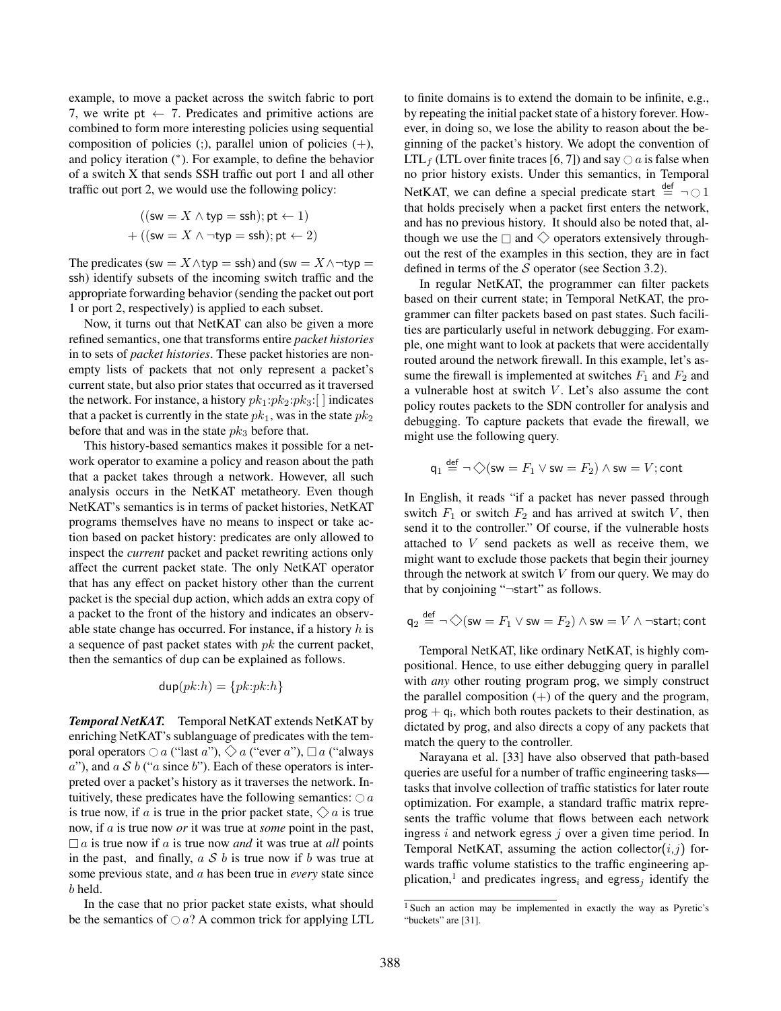example, to move a packet across the switch fabric to port 7, we write pt  $\leftarrow$  7. Predicates and primitive actions are combined to form more interesting policies using sequential composition of policies  $($ ;), parallel union of policies  $(+)$ , and policy iteration (<sup>∗</sup> ). For example, to define the behavior of a switch X that sends SSH traffic out port 1 and all other traffic out port 2, we would use the following policy:

$$
((\mathsf{sw} = X \land \mathsf{typ} = \mathsf{ssh}); \mathsf{pt} \leftarrow 1)
$$

$$
+ ((\mathsf{sw} = X \land \neg \mathsf{typ} = \mathsf{ssh}); \mathsf{pt} \leftarrow 2)
$$

The predicates (sw =  $X \wedge$ typ = ssh) and (sw =  $X \wedge \neg$ typ = ssh) identify subsets of the incoming switch traffic and the appropriate forwarding behavior (sending the packet out port 1 or port 2, respectively) is applied to each subset.

Now, it turns out that NetKAT can also be given a more refined semantics, one that transforms entire *packet histories* in to sets of *packet histories*. These packet histories are nonempty lists of packets that not only represent a packet's current state, but also prior states that occurred as it traversed the network. For instance, a history  $pk_1:pk_2:pk_3:$  | | indicates that a packet is currently in the state  $pk_1$ , was in the state  $pk_2$ before that and was in the state  $pk_3$  before that.

This history-based semantics makes it possible for a network operator to examine a policy and reason about the path that a packet takes through a network. However, all such analysis occurs in the NetKAT metatheory. Even though NetKAT's semantics is in terms of packet histories, NetKAT programs themselves have no means to inspect or take action based on packet history: predicates are only allowed to inspect the *current* packet and packet rewriting actions only affect the current packet state. The only NetKAT operator that has any effect on packet history other than the current packet is the special dup action, which adds an extra copy of a packet to the front of the history and indicates an observable state change has occurred. For instance, if a history  $h$  is a sequence of past packet states with  $pk$  the current packet, then the semantics of dup can be explained as follows.

$$
\mathsf{dup}(pk:h) = \{pk:pk:h\}
$$

*Temporal NetKAT.* Temporal NetKAT extends NetKAT by enriching NetKAT's sublanguage of predicates with the temporal operators  $\bigcirc a$  ("last a"),  $\bigcirc a$  ("ever a"),  $\Box a$  ("always  $a$ "), and  $a S b$  (" $a$  since  $b$ "). Each of these operators is interpreted over a packet's history as it traverses the network. Intuitively, these predicates have the following semantics:  $\bigcirc$  a is true now, if a is true in the prior packet state,  $\Diamond a$  is true now, if a is true now *or* it was true at *some* point in the past,  $\Box a$  is true now if a is true now and it was true at all points in the past, and finally,  $a S b$  is true now if b was true at some previous state, and a has been true in *every* state since b held.

In the case that no prior packet state exists, what should be the semantics of  $\bigcirc$  a? A common trick for applying LTL to finite domains is to extend the domain to be infinite, e.g., by repeating the initial packet state of a history forever. However, in doing so, we lose the ability to reason about the beginning of the packet's history. We adopt the convention of LTL<sub>f</sub> (LTL over finite traces [\[6,](#page-14-7) [7\]](#page-14-8)) and say  $\bigcirc$  *a* is false when no prior history exists. Under this semantics, in Temporal NetKAT, we can define a special predicate start  $\stackrel{\text{def}}{=} \neg \bigcirc 1$ that holds precisely when a packet first enters the network, and has no previous history. It should also be noted that, although we use the  $\Box$  and  $\diamondsuit$  operators extensively throughout the rest of the examples in this section, they are in fact defined in terms of the  $S$  operator (see Section [3.2\)](#page-4-0).

In regular NetKAT, the programmer can filter packets based on their current state; in Temporal NetKAT, the programmer can filter packets based on past states. Such facilities are particularly useful in network debugging. For example, one might want to look at packets that were accidentally routed around the network firewall. In this example, let's assume the firewall is implemented at switches  $F_1$  and  $F_2$  and a vulnerable host at switch  $V$ . Let's also assume the cont policy routes packets to the SDN controller for analysis and debugging. To capture packets that evade the firewall, we might use the following query.

$$
\mathsf{q}_1 \stackrel{\mathsf{def}}{=} \neg \diamondsuit (\mathsf{sw} = F_1 \vee \mathsf{sw} = F_2) \wedge \mathsf{sw} = V; \mathsf{cont}
$$

In English, it reads "if a packet has never passed through switch  $F_1$  or switch  $F_2$  and has arrived at switch V, then send it to the controller." Of course, if the vulnerable hosts attached to V send packets as well as receive them, we might want to exclude those packets that begin their journey through the network at switch  $V$  from our query. We may do that by conjoining "¬start" as follows.

$$
q_2 \stackrel{\text{def}}{=} \neg \diamondsuit (\mathsf{sw} = F_1 \vee \mathsf{sw} = F_2) \wedge \mathsf{sw} = V \wedge \neg \mathsf{start}; \mathsf{cont}
$$

Temporal NetKAT, like ordinary NetKAT, is highly compositional. Hence, to use either debugging query in parallel with *any* other routing program prog, we simply construct the parallel composition  $(+)$  of the query and the program,  $prog + q_i$ , which both routes packets to their destination, as dictated by prog, and also directs a copy of any packets that match the query to the controller.

Narayana et al. [\[33\]](#page-15-6) have also observed that path-based queries are useful for a number of traffic engineering tasks tasks that involve collection of traffic statistics for later route optimization. For example, a standard traffic matrix represents the traffic volume that flows between each network ingress  $i$  and network egress  $j$  over a given time period. In Temporal NetKAT, assuming the action collector $(i,j)$  forwards traffic volume statistics to the traffic engineering ap-plication,<sup>[1](#page-2-0)</sup> and predicates ingress<sub>i</sub> and egress<sub>j</sub> identify the

<span id="page-2-0"></span><sup>1</sup> Such an action may be implemented in exactly the way as Pyretic's "buckets" are [\[31\]](#page-15-11).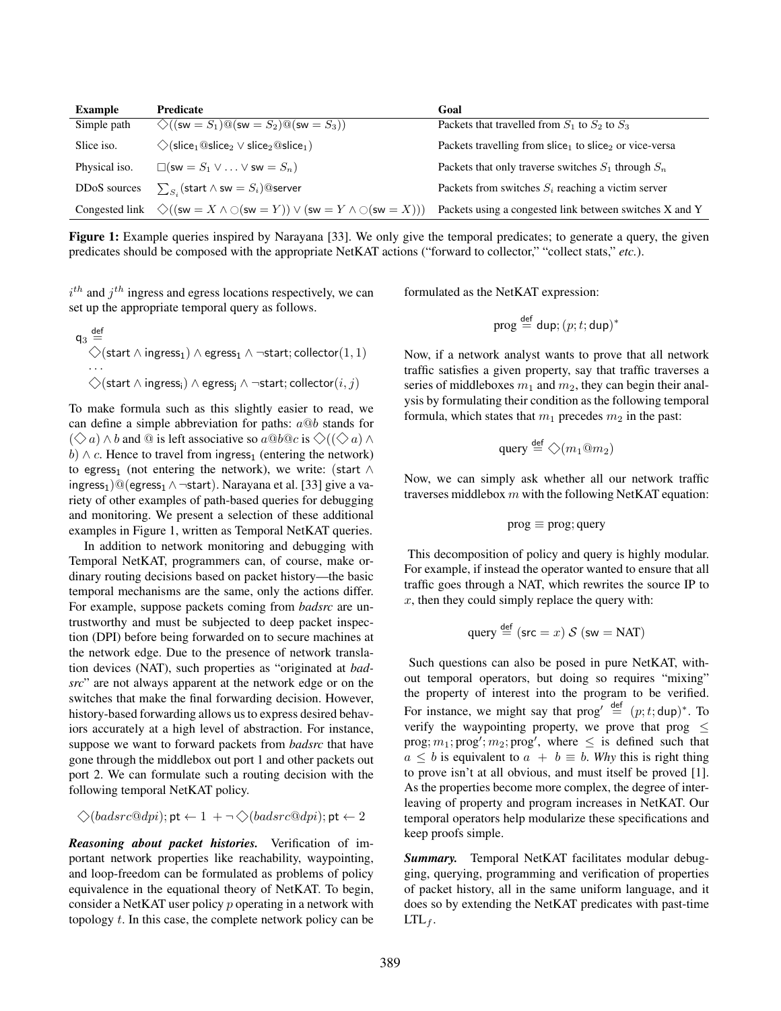<span id="page-3-0"></span>

| <b>Example</b>            | <b>Predicate</b>                                                                                                                                                     | Goal                                                                           |  |  |
|---------------------------|----------------------------------------------------------------------------------------------------------------------------------------------------------------------|--------------------------------------------------------------------------------|--|--|
| Simple path               | $\Diamond((sw = S_1)@(sw = S_2)@(sw = S_3))$                                                                                                                         | Packets that travelled from $S_1$ to $S_2$ to $S_3$                            |  |  |
| Slice iso.                | $\Diamond$ (slice <sub>1</sub> @slice <sub>2</sub> $\lor$ slice <sub>2</sub> @slice <sub>1</sub> )                                                                   | Packets travelling from slice <sub>1</sub> to slice <sub>2</sub> or vice-versa |  |  |
| Physical iso.             | $\Box$ (sw = $S_1 \lor  \lor$ sw = $S_n$ )                                                                                                                           | Packets that only traverse switches $S_1$ through $S_n$                        |  |  |
| DD <sub>o</sub> S sources | $\sum_{S_i}$ (start $\wedge$ sw $=S_i)$ @server                                                                                                                      | Packets from switches $S_i$ reaching a victim server                           |  |  |
|                           | Congested link $\Diamond$ ((sw = X $\land$ $\Diamond$ (sw = Y)) $\lor$ (sw = Y $\land$ $\Diamond$ (sw = X))) Packets using a congested link between switches X and Y |                                                                                |  |  |

Figure 1: Example queries inspired by Narayana [\[33\]](#page-15-6). We only give the temporal predicates; to generate a query, the given predicates should be composed with the appropriate NetKAT actions ("forward to collector," "collect stats," *etc.*).

 $i^{th}$  and  $j^{th}$  ingress and egress locations respectively, we can set up the appropriate temporal query as follows.

$$
\mathsf{q}_3 \stackrel{\mathsf{def}}{=} \bigotimes_{\mathsf{start} \, \wedge \, \mathsf{ingress}_1} \wedge \mathsf{egress}_1 \wedge \neg \mathsf{start}; \mathsf{collector}(1,1) \ldots \bigotimes(\mathsf{start} \, \wedge \, \mathsf{ingress}_i) \wedge \mathsf{egress}_j \wedge \neg \mathsf{start}; \mathsf{collector}(i,j)
$$

To make formula such as this slightly easier to read, we can define a simple abbreviation for paths:  $a@b$  stands for  $(\Diamond a) \wedge b$  and @ is left associative so  $a@b@c$  is  $\Diamond((\Diamond a) \wedge b)$ b)  $\land$  c. Hence to travel from ingress<sub>1</sub> (entering the network) to egress<sub>1</sub> (not entering the network), we write: (start  $\wedge$ ingress<sub>1</sub>)@(egress<sub>1</sub>  $\land$  ¬start). Narayana et al. [\[33\]](#page-15-6) give a variety of other examples of path-based queries for debugging and monitoring. We present a selection of these additional examples in Figure [1,](#page-3-0) written as Temporal NetKAT queries.

In addition to network monitoring and debugging with Temporal NetKAT, programmers can, of course, make ordinary routing decisions based on packet history—the basic temporal mechanisms are the same, only the actions differ. For example, suppose packets coming from *badsrc* are untrustworthy and must be subjected to deep packet inspection (DPI) before being forwarded on to secure machines at the network edge. Due to the presence of network translation devices (NAT), such properties as "originated at *badsrc*" are not always apparent at the network edge or on the switches that make the final forwarding decision. However, history-based forwarding allows us to express desired behaviors accurately at a high level of abstraction. For instance, suppose we want to forward packets from *badsrc* that have gone through the middlebox out port 1 and other packets out port 2. We can formulate such a routing decision with the following temporal NetKAT policy.

$$
\diamondsuit(badsrc@dpi); \mathsf{pt} \leftarrow 1 \ + \neg \diamondsuit(badsrc@dpi); \mathsf{pt} \leftarrow 2
$$

*Reasoning about packet histories.* Verification of important network properties like reachability, waypointing, and loop-freedom can be formulated as problems of policy equivalence in the equational theory of NetKAT. To begin, consider a NetKAT user policy p operating in a network with topology  $t$ . In this case, the complete network policy can be

formulated as the NetKAT expression:

$$
\mathsf{prog} \stackrel{\mathsf{def}}{=} \mathsf{dup}; (p; t; \mathsf{dup})^*
$$

Now, if a network analyst wants to prove that all network traffic satisfies a given property, say that traffic traverses a series of middleboxes  $m_1$  and  $m_2$ , they can begin their analysis by formulating their condition as the following temporal formula, which states that  $m_1$  precedes  $m_2$  in the past:

$$
\text{query} \stackrel{\text{def}}{=} \bigcirc (m_1@m_2)
$$

Now, we can simply ask whether all our network traffic traverses middlebox  $m$  with the following NetKAT equation:

$$
prog \equiv prog; query
$$

This decomposition of policy and query is highly modular. For example, if instead the operator wanted to ensure that all traffic goes through a NAT, which rewrites the source IP to  $x$ , then they could simply replace the query with:

query 
$$
\stackrel{\text{def}}{=} (\text{src} = x) \mathcal{S} (\text{sw} = \text{NAT})
$$

Such questions can also be posed in pure NetKAT, without temporal operators, but doing so requires "mixing" the property of interest into the program to be verified. For instance, we might say that  $\text{prog}' \stackrel{\text{def}}{=} (p; t; \text{dup})^*$ . To verify the waypointing property, we prove that prog  $\leq$  $\text{prog}; m_1; \text{prog'}; m_2; \text{prog'}, \text{ where } \leq \text{ is defined such that}$  $a \leq b$  is equivalent to  $a + b \equiv b$ . Why this is right thing to prove isn't at all obvious, and must itself be proved [\[1\]](#page-14-1). As the properties become more complex, the degree of interleaving of property and program increases in NetKAT. Our temporal operators help modularize these specifications and keep proofs simple.

*Summary.* Temporal NetKAT facilitates modular debugging, querying, programming and verification of properties of packet history, all in the same uniform language, and it does so by extending the NetKAT predicates with past-time  $LTL_f$ .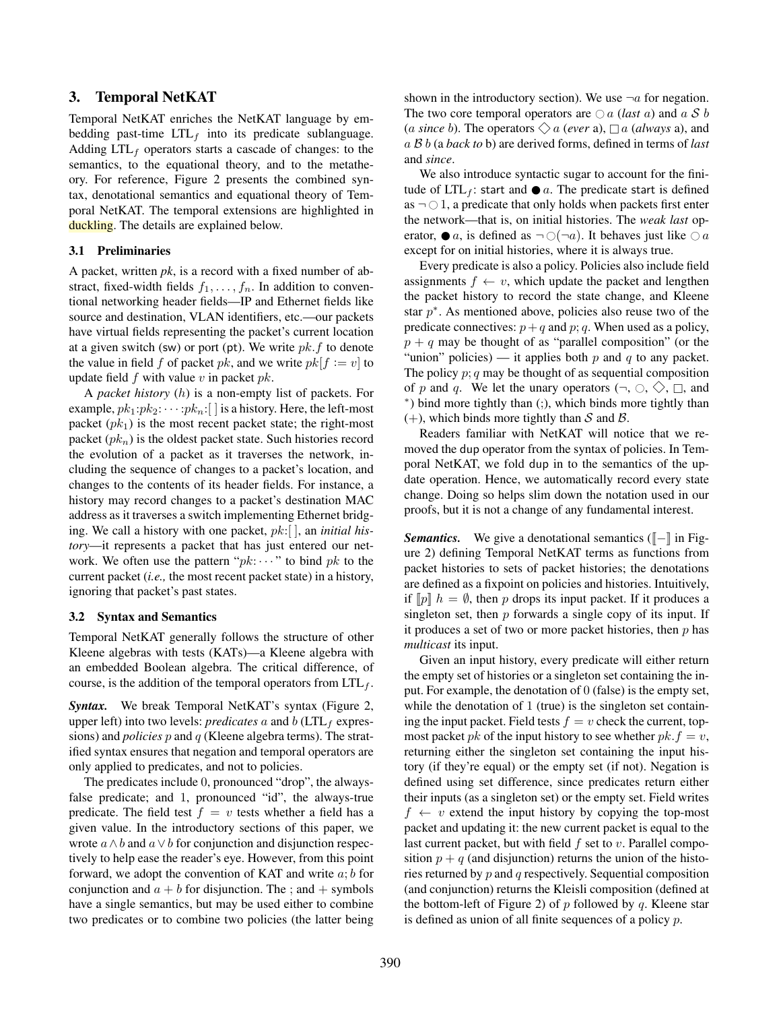# 3. Temporal NetKAT

Temporal NetKAT enriches the NetKAT language by embedding past-time  $LTL<sub>f</sub>$  into its predicate sublanguage. Adding  $LTL_f$  operators starts a cascade of changes: to the semantics, to the equational theory, and to the metatheory. For reference, Figure [2](#page-5-0) presents the combined syntax, denotational semantics and equational theory of Temporal NetKAT. The temporal extensions are highlighted in duckling. The details are explained below.

### 3.1 Preliminaries

A packet, written *pk*, is a record with a fixed number of abstract, fixed-width fields  $f_1, \ldots, f_n$ . In addition to conventional networking header fields—IP and Ethernet fields like source and destination, VLAN identifiers, etc.—our packets have virtual fields representing the packet's current location at a given switch (sw) or port (pt). We write  $pk.f$  to denote the value in field f of packet pk, and we write  $pk[f := v]$  to update field  $f$  with value  $v$  in packet  $pk$ .

A *packet history* (h) is a non-empty list of packets. For example,  $pk_1:pk_2: \cdots:pk_n:$  is a history. Here, the left-most packet  $(pk<sub>1</sub>)$  is the most recent packet state; the right-most packet  $(pk_n)$  is the oldest packet state. Such histories record the evolution of a packet as it traverses the network, including the sequence of changes to a packet's location, and changes to the contents of its header fields. For instance, a history may record changes to a packet's destination MAC address as it traverses a switch implementing Ethernet bridging. We call a history with one packet, pk:[ ], an *initial history*—it represents a packet that has just entered our network. We often use the pattern " $pk: \cdots$ " to bind pk to the current packet (*i.e.,* the most recent packet state) in a history, ignoring that packet's past states.

#### <span id="page-4-0"></span>3.2 Syntax and Semantics

Temporal NetKAT generally follows the structure of other Kleene algebras with tests (KATs)—a Kleene algebra with an embedded Boolean algebra. The critical difference, of course, is the addition of the temporal operators from  $\text{LTL}_f$ .

*Syntax.* We break Temporal NetKAT's syntax (Figure [2,](#page-5-0) upper left) into two levels: *predicates*  $a$  and  $b$  (LTL<sub>f</sub> expressions) and *policies* p and q (Kleene algebra terms). The stratified syntax ensures that negation and temporal operators are only applied to predicates, and not to policies.

The predicates include 0, pronounced "drop", the alwaysfalse predicate; and 1, pronounced "id", the always-true predicate. The field test  $f = v$  tests whether a field has a given value. In the introductory sections of this paper, we wrote  $a \wedge b$  and  $a \vee b$  for conjunction and disjunction respectively to help ease the reader's eye. However, from this point forward, we adopt the convention of KAT and write  $a; b$  for conjunction and  $a + b$  for disjunction. The ; and  $+$  symbols have a single semantics, but may be used either to combine two predicates or to combine two policies (the latter being

shown in the introductory section). We use  $\neg a$  for negation. The two core temporal operators are  $\bigcirc$  *a* (*last a*) and a S *b* (*a since b*). The operators  $\Diamond a$  (*ever* a),  $\Box a$  (*always* a), and a B b (a *back to* b) are derived forms, defined in terms of *last* and *since*.

We also introduce syntactic sugar to account for the finitude of  $LTL_f$ : start and  $\bullet$  *a*. The predicate start is defined as  $\neg$  0 1, a predicate that only holds when packets first enter the network—that is, on initial histories. The *weak last* operator,  $\bullet$  a, is defined as  $\neg$  ( $\neg$ a). It behaves just like  $\Diamond$  a except for on initial histories, where it is always true.

Every predicate is also a policy. Policies also include field assignments  $f \leftarrow v$ , which update the packet and lengthen the packet history to record the state change, and Kleene star  $p^*$ . As mentioned above, policies also reuse two of the predicate connectives:  $p+q$  and  $p$ ; q. When used as a policy,  $p + q$  may be thought of as "parallel composition" (or the "union" policies) — it applies both  $p$  and  $q$  to any packet. The policy  $p$ ;  $q$  may be thought of as sequential composition of p and q. We let the unary operators  $(\neg, \Diamond, \Diamond, \Box, \Box)$ ∗ ) bind more tightly than (;), which binds more tightly than  $(+)$ , which binds more tightly than S and B.

Readers familiar with NetKAT will notice that we removed the dup operator from the syntax of policies. In Temporal NetKAT, we fold dup in to the semantics of the update operation. Hence, we automatically record every state change. Doing so helps slim down the notation used in our proofs, but it is not a change of any fundamental interest.

*Semantics.* We give a denotational semantics ( $\llbracket - \rrbracket$  in Figure [2\)](#page-5-0) defining Temporal NetKAT terms as functions from packet histories to sets of packet histories; the denotations are defined as a fixpoint on policies and histories. Intuitively, if  $[p]$   $h = \emptyset$ , then p drops its input packet. If it produces a singleton set, then  $p$  forwards a single copy of its input. If it produces a set of two or more packet histories, then  $p$  has *multicast* its input.

Given an input history, every predicate will either return the empty set of histories or a singleton set containing the input. For example, the denotation of 0 (false) is the empty set, while the denotation of 1 (true) is the singleton set containing the input packet. Field tests  $f = v$  check the current, topmost packet *pk* of the input history to see whether  $pk.f = v$ , returning either the singleton set containing the input history (if they're equal) or the empty set (if not). Negation is defined using set difference, since predicates return either their inputs (as a singleton set) or the empty set. Field writes  $f \leftarrow v$  extend the input history by copying the top-most packet and updating it: the new current packet is equal to the last current packet, but with field  $f$  set to  $v$ . Parallel composition  $p + q$  (and disjunction) returns the union of the histories returned by p and q respectively. Sequential composition (and conjunction) returns the Kleisli composition (defined at the bottom-left of Figure [2\)](#page-5-0) of  $p$  followed by  $q$ . Kleene star is defined as union of all finite sequences of a policy  $p$ .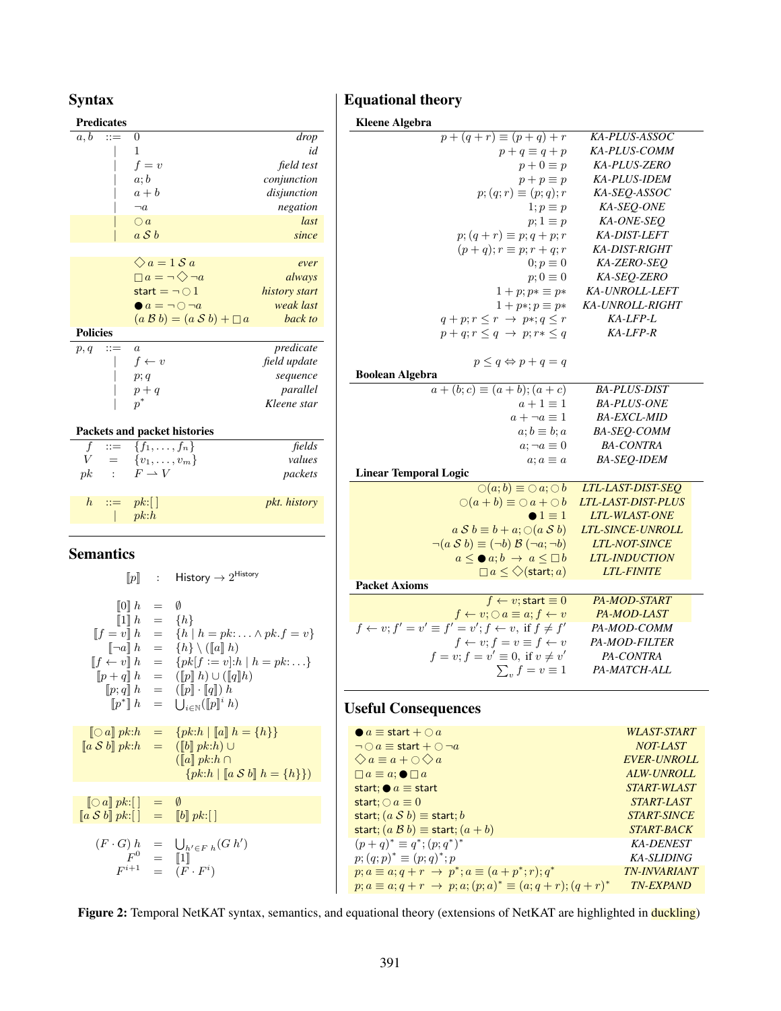# <span id="page-5-0"></span>Syntax

# **Predicates**  $a, b \quad ::= \quad 0 \qquad \qquad \text{drop}$ | 1 *id*  $f = v$  *field test* | a; b *conjunction* | a + b *disjunction*  $\neg a$  *negation*  $\begin{array}{ccc} | & \bigcirc a & & | \end{array}$ | a S b *since*  $\Diamond a = 1 \, S \, a$  *ever*  $a = \neg \diamondsuit \neg a$  *always*  $\text{start} = \neg \bigcirc 1$  *history start*<br>  $\bigcirc a = \neg \bigcirc \neg a$  *weak last*  $\begin{array}{ll}\n\bullet & a = \neg \bigcirc \neg a & \text{weak last} \\
(a \ B \ b) = (a \ S \ b) + \Box \ a & \text{back to}\n\end{array}$  $(a \mathcal{B} b) = (a \mathcal{S} b) + \Box a$ Policies p, q ::= a *predicate*  $f \leftarrow v$  *field update* | p; q *sequence*  $p + q$  *parallel*  $p^*$ <sup>∗</sup> *Kleene star* Packets and packet histories  $f$  ::= { $f_1, \ldots, f_n$ } *fields*  $V = \{v_1, \ldots, v_m\}$  *values*  $pk$  :  $F \rightarrow V$  *packets*  $h$  ::=  $pk:$   $\lceil \cdot \rceil$  *pkt. history*  $| p k: h$

# Semantics

 $\llbracket p \rrbracket$  : History  $\rightarrow 2^{\text{History}}$  $[0]$  h =  $\emptyset$  $[1] h = \{h\}$  $[f = v] h = \{h | h = pk: ... \wedge pk.f = v\}$  $\lbrack \lbrack \lbrack \lbrack \lbrack a \rbrack \rbrack$  h  $\qquad \qquad$   $\{h\} \setminus (\lbrack \lbrack a \rbrack \rbrack h)$  $[f \leftarrow v] h = \{pk[f := v]:h \mid h = pk: \dots\}$  $[\![p+q]\!] \ h \ \ = \ \ ([p]\!] \ h) \cup ([q]\!] h)$  $[p; q] h = ([p] \cdot [q]) h$  $[\![p^*]\!]~h \quad = \quad \bigcup\nolimits_{i \in \mathbb{N}} ([\![p]\!]^i ~h)$  $[0 a] p k: h = {pk: h | [a] h = {h}}$  $[a S b] p k: h = (b] p k: h$  $(\llbracket a \rrbracket \ p k : h \cap$  ${pk:h | [a S b] h = {h}}$  $\lceil \bigcirc a \rceil pk: \lceil \rceil = \emptyset$  $[a \mathcal{S} b] p k:$   $] = [b] p k:$  $(F \cdot G) h = \bigcup_{h' \in F h} (G h')$  $F^0$  =  $\llbracket 1 \rrbracket$  $F^{i+1}$  =  $(F \cdot F^i)$ 

# Equational theory

| <b>Kleene Algebra</b>                                                           |                           |
|---------------------------------------------------------------------------------|---------------------------|
| $\overline{p+(q+r)} \equiv (p+q)+r$                                             | KA-PLUS-ASSOC             |
| $p+q \equiv q+p$                                                                | KA-PLUS-COMM              |
| $p + 0 \equiv p$                                                                | KA-PLUS-ZERO              |
| $p+p\equiv p$                                                                   | KA-PLUS-IDEM              |
| $p; (q; r) \equiv (p; q); r$                                                    | KA-SEQ-ASSOC              |
| $1; p \equiv p$                                                                 | KA-SEQ-ONE                |
| $p; 1 \equiv p$                                                                 | KA-ONE-SEQ                |
| $p$ ; $(q + r) \equiv p$ ; $q + p$ ; r                                          | KA-DIST-LEFT              |
| $(p+q); r \equiv p; r+q; r$                                                     | <b>KA-DIST-RIGHT</b>      |
| $0; p \equiv 0$                                                                 | KA-ZERO-SEQ               |
| $p; 0 \equiv 0$                                                                 | KA-SEQ-ZERO               |
| $1+p; p* \equiv p*$                                                             | KA-UNROLL-LEFT            |
| $1+p*; p \equiv p*$                                                             | KA-UNROLL-RIGHT           |
| $q+p; r \leq r \rightarrow p*, q \leq r$                                        | KA-LFP-L                  |
| $p+q; r \leq q \rightarrow p; r * \leq q$                                       | $K\!A$ -LFP-R             |
|                                                                                 |                           |
| $p \leq q \Leftrightarrow p + q = q$                                            |                           |
| <b>Boolean Algebra</b>                                                          |                           |
| $a + (b; c) \equiv (a + b); (a + c)$                                            | <b>BA-PLUS-DIST</b>       |
| $a+1\equiv 1$                                                                   | <b>BA-PLUS-ONE</b>        |
| $a + \neg a \equiv 1$                                                           | <b>BA-EXCL-MID</b>        |
| $a; b \equiv b; a$                                                              | BA-SEQ-COMM               |
| $a; \neg a \equiv 0$                                                            | <b>BA-CONTRA</b>          |
| $a; a \equiv a$                                                                 | <b>BA-SEQ-IDEM</b>        |
| <b>Linear Temporal Logic</b>                                                    |                           |
| $\bigcirc$ (a; b) $\equiv \bigcirc a$ ; $\bigcirc b$                            | LTL-LAST-DIST-SEQ         |
| $\bigcirc (a+b) \equiv \bigcirc a + \bigcirc b$                                 | <b>LTL-LAST-DIST-PLUS</b> |
| $\bullet 1 \equiv 1$                                                            | <b>LTL-WLAST-ONE</b>      |
| $a S b \equiv b + a; \bigcirc (a S b)$                                          | LTL-SINCE-UNROLL          |
| $\neg(a \mathcal{S} b) \equiv (\neg b) \mathcal{B} (\neg a; \neg b)$            | <b>LTL-NOT-SINCE</b>      |
| $a \leq \bullet a; b \rightarrow a \leq \Box b$                                 | <b>LTL-INDUCTION</b>      |
| $\Box a \leq \bigcirc$ (start; a)                                               | <b>LTL-FINITE</b>         |
| <b>Packet Axioms</b>                                                            |                           |
| $f \leftarrow v$ ; start $\equiv 0$                                             | PA-MOD-START              |
| $f \leftarrow v; \bigcirc a \equiv a; f \leftarrow v$                           | PA-MOD-LAST               |
| $f \leftarrow v; f' = v' \equiv f' = v'; f \leftarrow v, \text{ if } f \neq f'$ | PA-MOD-COMM               |
| $f \leftarrow v; f = v \equiv f \leftarrow v$                                   | PA-MOD-FILTER             |
| $f = v; f = v' \equiv 0$ , if $v \neq v'$                                       | PA-CONTRA                 |
| $\sum_{v} f = v \equiv 1$                                                       | PA-MATCH-ALL              |
|                                                                                 |                           |

# Useful Consequences

| $\bullet$ a $\equiv$ start + $\bigcirc$ a                                      | <i>WLAST-START</i>        |
|--------------------------------------------------------------------------------|---------------------------|
| $\neg \bigcirc a \equiv$ start $+ \bigcirc \neg a$                             | NOT-LAST                  |
| $\bigotimes a \equiv a + \bigcirc \bigotimes a$                                | <b>EVER-UNROLL</b>        |
| $\Box a \equiv a$ ; $\bullet \Box a$                                           | ALW-UNROLL                |
| start; $\bullet$ $a \equiv$ start                                              | <i><b>START-WLAST</b></i> |
| start; $\bigcirc a \equiv 0$                                                   | <i><b>START-LAST</b></i>  |
| start; $(a \mathcal{S} b) \equiv$ start; b                                     | <i><b>START-SINCE</b></i> |
| start; $(a \mathcal{B} b) \equiv$ start; $(a + b)$                             | <b>START-BACK</b>         |
| $(p+q)^* \equiv q^*; (p;q^*)^*$                                                | <b>KA-DENEST</b>          |
| $p;(q;p)^* \equiv (p;q)^*; p$                                                  | KA-SLIDING                |
| $p; a \equiv a; q + r \rightarrow p^*; a \equiv (a + p^*; r); q^*$             | <b>TN-INVARIANT</b>       |
| $p; a \equiv a; q + r \rightarrow p; a; (p; a)^* \equiv (a; q + r); (q + r)^*$ | <b>TN-EXPAND</b>          |
|                                                                                |                           |

Figure 2: Temporal NetKAT syntax, semantics, and equational theory (extensions of NetKAT are highlighted in duckling)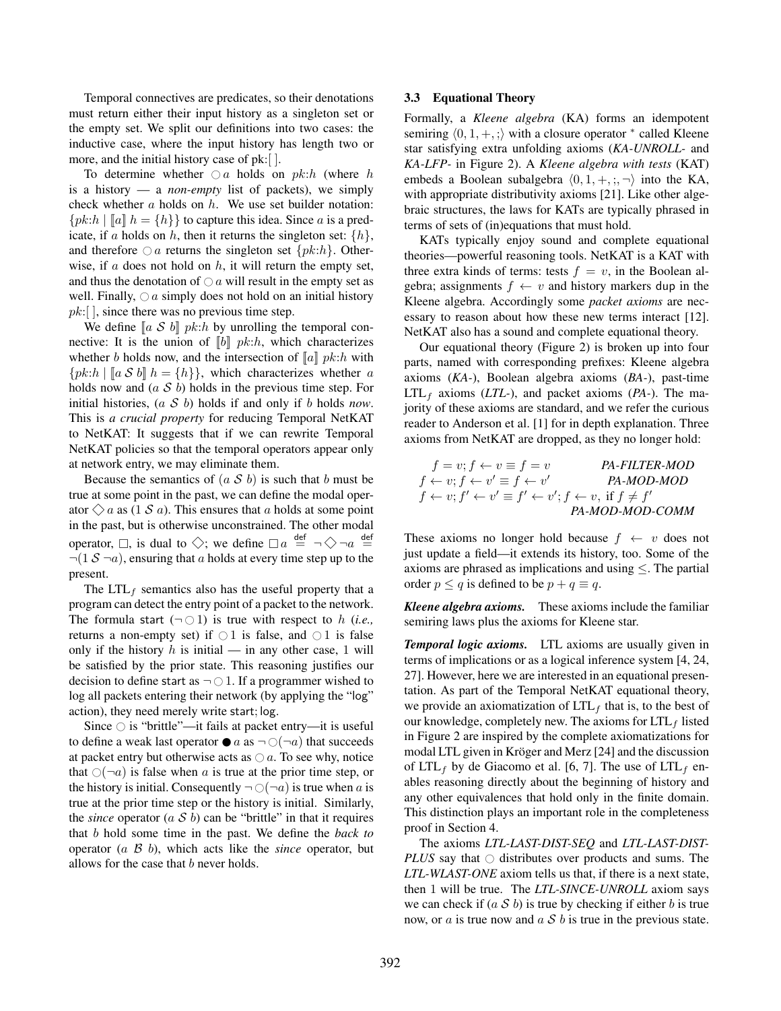Temporal connectives are predicates, so their denotations must return either their input history as a singleton set or the empty set. We split our definitions into two cases: the inductive case, where the input history has length two or more, and the initial history case of pk:[ ].

To determine whether  $\bigcirc$  a holds on pk:h (where h is a history — a *non-empty* list of packets), we simply check whether  $a$  holds on  $h$ . We use set builder notation:  ${pk:h \mid \llbracket a \rrbracket h = \{h\}\}\$  to capture this idea. Since a is a predicate, if a holds on h, then it returns the singleton set:  $\{h\}$ , and therefore  $\bigcirc$  a returns the singleton set  $\{pk:h\}$ . Otherwise, if  $a$  does not hold on  $h$ , it will return the empty set, and thus the denotation of  $\bigcirc$  a will result in the empty set as well. Finally,  $\bigcirc$  a simply does not hold on an initial history  $pk:$ [], since there was no previous time step.

We define  $[a S b]$  pk:h by unrolling the temporal connective: It is the union of  $[[b]] pk:h$ , which characterizes whether b holds now, and the intersection of  $\llbracket a \rrbracket$  pk:h with  ${pk:h \mid [a \mathcal{S} b] h = {h}}$ , which characterizes whether a holds now and  $(a \mathcal{S} b)$  holds in the previous time step. For initial histories, (a S b) holds if and only if b holds *now*. This is *a crucial property* for reducing Temporal NetKAT to NetKAT: It suggests that if we can rewrite Temporal NetKAT policies so that the temporal operators appear only at network entry, we may eliminate them.

Because the semantics of  $(a \mathcal{S} b)$  is such that b must be true at some point in the past, we can define the modal operator  $\Diamond a$  as (1 S a). This ensures that a holds at some point in the past, but is otherwise unconstrained. The other modal operator,  $\Box$ , is dual to  $\diamondsuit$ ; we define  $\Box a \stackrel{\text{def}}{=} \neg \diamondsuit \neg a \stackrel{\text{def}}{=}$  $\neg(1 \mathcal{S} \neg a)$ , ensuring that a holds at every time step up to the present.

The  $LTL_f$  semantics also has the useful property that a program can detect the entry point of a packet to the network. The formula start  $(\neg \bigcirc 1)$  is true with respect to h (*i.e.*, returns a non-empty set) if  $\bigcirc$  1 is false, and  $\bigcirc$  1 is false only if the history  $h$  is initial — in any other case, 1 will be satisfied by the prior state. This reasoning justifies our decision to define start as  $\neg$   $\bigcirc$  1. If a programmer wished to log all packets entering their network (by applying the "log" action), they need merely write start; log.

Since  $\bigcirc$  is "brittle"—it fails at packet entry—it is useful to define a weak last operator  $\bullet$  a as  $\neg$  ( $\neg$ a) that succeeds at packet entry but otherwise acts as  $\bigcirc$  a. To see why, notice that  $\bigcirc(\neg a)$  is false when a is true at the prior time step, or the history is initial. Consequently  $\neg$  ( $\neg$ a) is true when a is true at the prior time step or the history is initial. Similarly, the *since* operator  $(a \ S \ b)$  can be "brittle" in that it requires that b hold some time in the past. We define the *back to* operator (a B b), which acts like the *since* operator, but allows for the case that  $b$  never holds.

#### <span id="page-6-0"></span>3.3 Equational Theory

Formally, a *Kleene algebra* (KA) forms an idempotent semiring  $\langle 0, 1, +, \cdot \rangle$  with a closure operator  $*$  called Kleene star satisfying extra unfolding axioms (*KA-UNROLL-* and *KA-LFP-* in Figure [2\)](#page-5-0). A *Kleene algebra with tests* (KAT) embeds a Boolean subalgebra  $\langle 0, 1, +, ; , \neg \rangle$  into the KA, with appropriate distributivity axioms [\[21\]](#page-15-12). Like other algebraic structures, the laws for KATs are typically phrased in terms of sets of (in)equations that must hold.

KATs typically enjoy sound and complete equational theories—powerful reasoning tools. NetKAT is a KAT with three extra kinds of terms: tests  $f = v$ , in the Boolean algebra; assignments  $f \leftarrow v$  and history markers dup in the Kleene algebra. Accordingly some *packet axioms* are necessary to reason about how these new terms interact [\[12\]](#page-14-9). NetKAT also has a sound and complete equational theory.

Our equational theory (Figure [2\)](#page-5-0) is broken up into four parts, named with corresponding prefixes: Kleene algebra axioms (*KA-*), Boolean algebra axioms (*BA-*), past-time  $LTL<sub>f</sub>$  axioms (*LTL*-), and packet axioms (*PA*-). The majority of these axioms are standard, and we refer the curious reader to Anderson et al. [\[1\]](#page-14-1) for in depth explanation. Three axioms from NetKAT are dropped, as they no longer hold:

$$
f = v; f \leftarrow v \equiv f = v
$$
  
\n
$$
f \leftarrow v; f \leftarrow v' \equiv f \leftarrow v'
$$
  
\n
$$
f \leftarrow v; f' \leftarrow v' \equiv f' \leftarrow v'; f \leftarrow v, \text{ if } f \neq f'
$$
  
\n
$$
PA-MOD-MOD
$$
  
\n
$$
PA-MOD-MOD-COMM
$$

These axioms no longer hold because  $f \leftarrow v$  does not just update a field—it extends its history, too. Some of the axioms are phrased as implications and using  $\leq$ . The partial order  $p \leq q$  is defined to be  $p + q \equiv q$ .

*Kleene algebra axioms.* These axioms include the familiar semiring laws plus the axioms for Kleene star.

*Temporal logic axioms.* LTL axioms are usually given in terms of implications or as a logical inference system [\[4,](#page-14-10) [24,](#page-15-13) [27\]](#page-15-14). However, here we are interested in an equational presentation. As part of the Temporal NetKAT equational theory, we provide an axiomatization of  $LTL<sub>f</sub>$  that is, to the best of our knowledge, completely new. The axioms for  $LTL<sub>f</sub>$  listed in Figure [2](#page-5-0) are inspired by the complete axiomatizations for modal LTL given in Kröger and Merz [\[24\]](#page-15-13) and the discussion of LTL<sub>f</sub> by de Giacomo et al. [\[6,](#page-14-7) [7\]](#page-14-8). The use of LTL<sub>f</sub> enables reasoning directly about the beginning of history and any other equivalences that hold only in the finite domain. This distinction plays an important role in the completeness proof in Section [4.](#page-7-0)

The axioms *LTL-LAST-DIST-SEQ* and *LTL-LAST-DIST-PLUS* say that  $\circ$  distributes over products and sums. The *LTL-WLAST-ONE* axiom tells us that, if there is a next state, then 1 will be true. The *LTL-SINCE-UNROLL* axiom says we can check if  $(a S b)$  is true by checking if either b is true now, or  $\alpha$  is true now and  $\alpha S$  b is true in the previous state.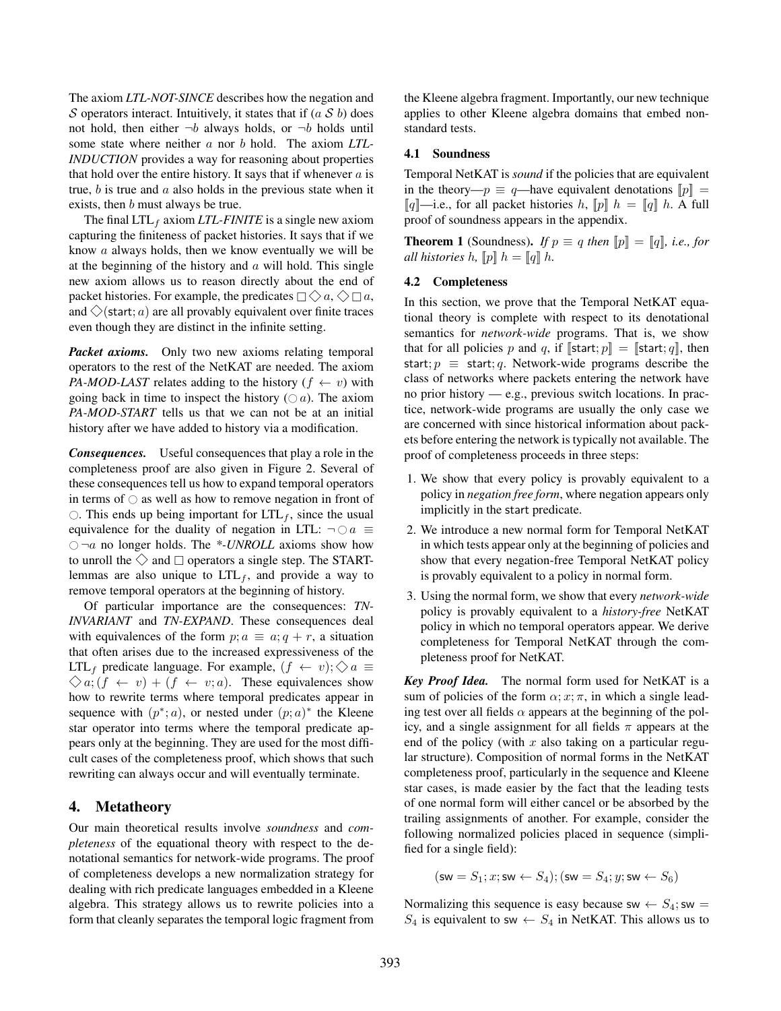The axiom *LTL-NOT-SINCE* describes how the negation and S operators interact. Intuitively, it states that if  $(a S b)$  does not hold, then either  $\neg b$  always holds, or  $\neg b$  holds until some state where neither a nor b hold. The axiom *LTL-INDUCTION* provides a way for reasoning about properties that hold over the entire history. It says that if whenever  $a$  is true,  $b$  is true and  $a$  also holds in the previous state when it exists, then *b* must always be true.

The final  $LTL_f$  axiom *LTL-FINITE* is a single new axiom capturing the finiteness of packet histories. It says that if we know a always holds, then we know eventually we will be at the beginning of the history and  $\alpha$  will hold. This single new axiom allows us to reason directly about the end of packet histories. For example, the predicates  $\Box \Diamond a, \Diamond \Box a$ , and  $\Diamond$ (start; a) are all provably equivalent over finite traces even though they are distinct in the infinite setting.

*Packet axioms.* Only two new axioms relating temporal operators to the rest of the NetKAT are needed. The axiom *PA-MOD-LAST* relates adding to the history  $(f \leftarrow v)$  with going back in time to inspect the history  $( \bigcirc a)$ . The axiom *PA-MOD-START* tells us that we can not be at an initial history after we have added to history via a modification.

*Consequences.* Useful consequences that play a role in the completeness proof are also given in Figure [2.](#page-5-0) Several of these consequences tell us how to expand temporal operators in terms of  $\circ$  as well as how to remove negation in front of  $\circ$ . This ends up being important for LTL<sub>f</sub>, since the usual equivalence for the duality of negation in LTL:  $\neg \bigcirc a \equiv$  $\bigcirc$   $\neg a$  no longer holds. The \*-*UNROLL* axioms show how to unroll the  $\diamondsuit$  and  $\square$  operators a single step. The STARTlemmas are also unique to  $LTL_f$ , and provide a way to remove temporal operators at the beginning of history.

Of particular importance are the consequences: *TN-INVARIANT* and *TN-EXPAND*. These consequences deal with equivalences of the form  $p; a \equiv a; q + r$ , a situation that often arises due to the increased expressiveness of the LTL<sub>f</sub> predicate language. For example,  $(f \leftarrow v)$ ;  $\Diamond a \equiv$  $\Diamond a$ ;  $(f \leftarrow v) + (f \leftarrow v; a)$ . These equivalences show how to rewrite terms where temporal predicates appear in sequence with  $(p^*; a)$ , or nested under  $(p; a)^*$  the Kleene star operator into terms where the temporal predicate appears only at the beginning. They are used for the most difficult cases of the completeness proof, which shows that such rewriting can always occur and will eventually terminate.

# <span id="page-7-0"></span>4. Metatheory

Our main theoretical results involve *soundness* and *completeness* of the equational theory with respect to the denotational semantics for network-wide programs. The proof of completeness develops a new normalization strategy for dealing with rich predicate languages embedded in a Kleene algebra. This strategy allows us to rewrite policies into a form that cleanly separates the temporal logic fragment from the Kleene algebra fragment. Importantly, our new technique applies to other Kleene algebra domains that embed nonstandard tests.

#### 4.1 Soundness

Temporal NetKAT is *sound* if the policies that are equivalent in the theory— $p \equiv q$ —have equivalent denotations  $[p]$  =  $\llbracket q \rrbracket$ —i.e., for all packet histories h,  $\llbracket p \rrbracket$  h =  $\llbracket q \rrbracket$  h. A full proof of soundness appears in the appendix.

**Theorem 1** (Soundness). *If*  $p \equiv q$  *then*  $[p] = [q]$ *, i.e., for all histories* h,  $\llbracket p \rrbracket$  h =  $\llbracket q \rrbracket$  h.

#### 4.2 Completeness

In this section, we prove that the Temporal NetKAT equational theory is complete with respect to its denotational semantics for *network-wide* programs. That is, we show that for all policies p and q, if  $[\text{start}; p] = [\text{start}; q]$ , then start;  $p \equiv$  start; q. Network-wide programs describe the class of networks where packets entering the network have no prior history — e.g., previous switch locations. In practice, network-wide programs are usually the only case we are concerned with since historical information about packets before entering the network is typically not available. The proof of completeness proceeds in three steps:

- 1. We show that every policy is provably equivalent to a policy in *negation free form*, where negation appears only implicitly in the start predicate.
- 2. We introduce a new normal form for Temporal NetKAT in which tests appear only at the beginning of policies and show that every negation-free Temporal NetKAT policy is provably equivalent to a policy in normal form.
- 3. Using the normal form, we show that every *network-wide* policy is provably equivalent to a *history-free* NetKAT policy in which no temporal operators appear. We derive completeness for Temporal NetKAT through the completeness proof for NetKAT.

*Key Proof Idea.* The normal form used for NetKAT is a sum of policies of the form  $\alpha$ ;  $x$ ;  $\pi$ , in which a single leading test over all fields  $\alpha$  appears at the beginning of the policy, and a single assignment for all fields  $\pi$  appears at the end of the policy (with  $x$  also taking on a particular regular structure). Composition of normal forms in the NetKAT completeness proof, particularly in the sequence and Kleene star cases, is made easier by the fact that the leading tests of one normal form will either cancel or be absorbed by the trailing assignments of another. For example, consider the following normalized policies placed in sequence (simplified for a single field):

$$
(\mathsf{sw} = S_1; x; \mathsf{sw} \leftarrow S_4); (\mathsf{sw} = S_4; y; \mathsf{sw} \leftarrow S_6)
$$

Normalizing this sequence is easy because sw  $\leftarrow S_4$ ; sw =  $S_4$  is equivalent to sw  $\leftarrow S_4$  in NetKAT. This allows us to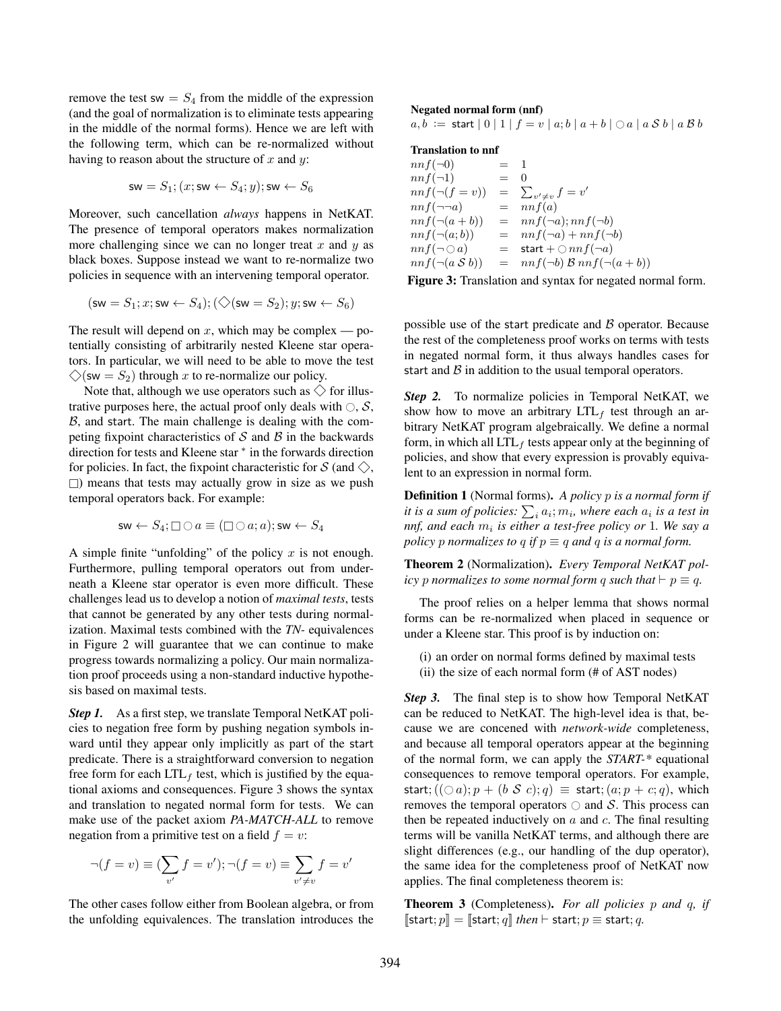remove the test sw =  $S_4$  from the middle of the expression (and the goal of normalization is to eliminate tests appearing in the middle of the normal forms). Hence we are left with the following term, which can be re-normalized without having to reason about the structure of  $x$  and  $y$ :

$$
\mathsf{sw} = S_1; (x; \mathsf{sw} \leftarrow S_4; y); \mathsf{sw} \leftarrow S_6
$$

Moreover, such cancellation *always* happens in NetKAT. The presence of temporal operators makes normalization more challenging since we can no longer treat  $x$  and  $y$  as black boxes. Suppose instead we want to re-normalize two policies in sequence with an intervening temporal operator.

$$
(\mathsf{sw} = S_1; x; \mathsf{sw} \leftarrow S_4); (\bigcirc(\mathsf{sw} = S_2); y; \mathsf{sw} \leftarrow S_6)
$$

The result will depend on  $x$ , which may be complex — potentially consisting of arbitrarily nested Kleene star operators. In particular, we will need to be able to move the test  $\diamondsuit$ (sw =  $S_2$ ) through x to re-normalize our policy.

Note that, although we use operators such as  $\diamondsuit$  for illustrative purposes here, the actual proof only deals with  $\bigcirc$ , S,  $B$ , and start. The main challenge is dealing with the competing fixpoint characteristics of  $S$  and  $\beta$  in the backwards direction for tests and Kleene star <sup>∗</sup> in the forwards direction for policies. In fact, the fixpoint characteristic for S (and  $\Diamond$ ,  $\Box$ ) means that tests may actually grow in size as we push temporal operators back. For example:

$$
\mathsf{sw}\leftarrow S_4;\Box\bigcirc a\equiv (\Box\bigcirc a;a);\mathsf{sw}\leftarrow S_4
$$

A simple finite "unfolding" of the policy  $x$  is not enough. Furthermore, pulling temporal operators out from underneath a Kleene star operator is even more difficult. These challenges lead us to develop a notion of *maximal tests*, tests that cannot be generated by any other tests during normalization. Maximal tests combined with the *TN-* equivalences in Figure [2](#page-5-0) will guarantee that we can continue to make progress towards normalizing a policy. Our main normalization proof proceeds using a non-standard inductive hypothesis based on maximal tests.

*Step 1.* As a first step, we translate Temporal NetKAT policies to negation free form by pushing negation symbols inward until they appear only implicitly as part of the start predicate. There is a straightforward conversion to negation free form for each  $LTL<sub>f</sub>$  test, which is justified by the equational axioms and consequences. Figure [3](#page-8-0) shows the syntax and translation to negated normal form for tests. We can make use of the packet axiom *PA-MATCH-ALL* to remove negation from a primitive test on a field  $f = v$ :

$$
\neg(f = v) \equiv \left(\sum_{v'} f = v'\right); \neg(f = v) \equiv \sum_{v' \neq v} f = v'
$$

The other cases follow either from Boolean algebra, or from the unfolding equivalences. The translation introduces the

#### <span id="page-8-0"></span>Negated normal form (nnf)

 $a, b :=$  start  $|0|1| f = v |a;b| a+b |0| a | a S b | a B b$ 

#### Translation to nnf

 $nnf(\neg 0)$  = 1  $nnf(\neg 1)$  = 0  $nnf(\neg(f = v)) =$  $v' \neq v$   $f = v'$  $nnf(\neg\neg a)$  =  $nnf(a)$  $nnf(\neg(a+b)) = nnf(\neg a); nnf(\neg b)$  $nnf(\neg(a;b)) = nnf(\neg a) + nnf(\neg b)$  $nnf(\neg \bigcirc a)$  = start +  $\bigcirc nnf(\neg a)$ <br>  $nnf(\neg (a \mathcal{S} b))$  =  $nnf(\neg b) \mathcal{B} nnf(\neg b)$  $=$   $nnf(\neg b) \mathcal{B} nnf(\neg (a + b))$ 

Figure 3: Translation and syntax for negated normal form.

possible use of the start predicate and  $\beta$  operator. Because the rest of the completeness proof works on terms with tests in negated normal form, it thus always handles cases for start and  $\beta$  in addition to the usual temporal operators.

*Step 2.* To normalize policies in Temporal NetKAT, we show how to move an arbitrary  $LTL<sub>f</sub>$  test through an arbitrary NetKAT program algebraically. We define a normal form, in which all  $LTL<sub>f</sub>$  tests appear only at the beginning of policies, and show that every expression is provably equivalent to an expression in normal form.

Definition 1 (Normal forms). *A policy* p *is a normal form if* it is a sum of policies:  $\sum_i a_i; m_i$ , where each  $a_i$  is a test in *nnf, and each* m<sup>i</sup> *is either a test-free policy or* 1*. We say a policy* p *normalizes* to q *if*  $p \equiv q$  *and* q *is a normal form.* 

Theorem 2 (Normalization). *Every Temporal NetKAT policy* p normalizes to some normal form q such that  $\vdash$   $p \equiv q$ .

The proof relies on a helper lemma that shows normal forms can be re-normalized when placed in sequence or under a Kleene star. This proof is by induction on:

(i) an order on normal forms defined by maximal tests (ii) the size of each normal form (# of AST nodes)

*Step 3.* The final step is to show how Temporal NetKAT can be reduced to NetKAT. The high-level idea is that, because we are concened with *network-wide* completeness, and because all temporal operators appear at the beginning of the normal form, we can apply the *START-\** equational consequences to remove temporal operators. For example, start;  $((\bigcirc a); p + (b \mathcal{S} c); q) \equiv$  start;  $(a; p + c; q)$ , which removes the temporal operators  $\bigcirc$  and S. This process can then be repeated inductively on  $a$  and  $c$ . The final resulting terms will be vanilla NetKAT terms, and although there are slight differences (e.g., our handling of the dup operator), the same idea for the completeness proof of NetKAT now applies. The final completeness theorem is:

Theorem 3 (Completeness). *For all policies* p *and* q*, if*  $[\textsf{start}; p] = [\textsf{start}; q]$  *then*  $\vdash$  start;  $p \equiv$  start;  $q$ .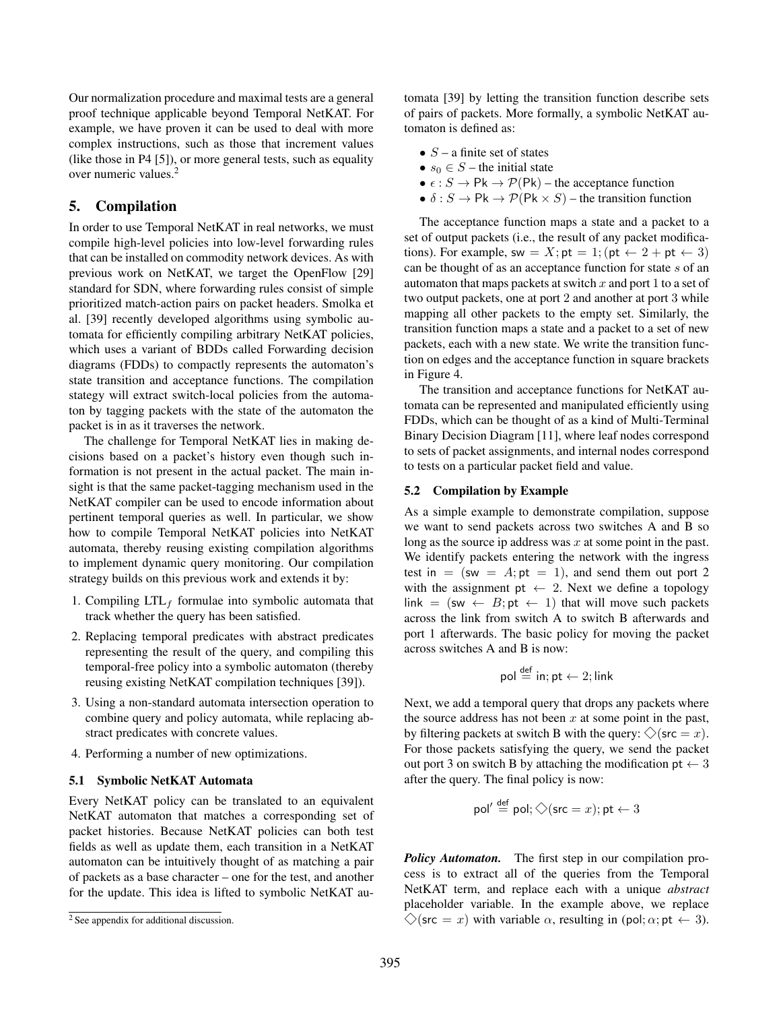Our normalization procedure and maximal tests are a general proof technique applicable beyond Temporal NetKAT. For example, we have proven it can be used to deal with more complex instructions, such as those that increment values (like those in P4 [\[5\]](#page-14-11)), or more general tests, such as equality over numeric values.[2](#page-9-1)

# <span id="page-9-0"></span>5. Compilation

In order to use Temporal NetKAT in real networks, we must compile high-level policies into low-level forwarding rules that can be installed on commodity network devices. As with previous work on NetKAT, we target the OpenFlow [\[29\]](#page-15-0) standard for SDN, where forwarding rules consist of simple prioritized match-action pairs on packet headers. Smolka et al. [\[39\]](#page-15-10) recently developed algorithms using symbolic automata for efficiently compiling arbitrary NetKAT policies, which uses a variant of BDDs called Forwarding decision diagrams (FDDs) to compactly represents the automaton's state transition and acceptance functions. The compilation stategy will extract switch-local policies from the automaton by tagging packets with the state of the automaton the packet is in as it traverses the network.

The challenge for Temporal NetKAT lies in making decisions based on a packet's history even though such information is not present in the actual packet. The main insight is that the same packet-tagging mechanism used in the NetKAT compiler can be used to encode information about pertinent temporal queries as well. In particular, we show how to compile Temporal NetKAT policies into NetKAT automata, thereby reusing existing compilation algorithms to implement dynamic query monitoring. Our compilation strategy builds on this previous work and extends it by:

- 1. Compiling  $LTL_f$  formulae into symbolic automata that track whether the query has been satisfied.
- 2. Replacing temporal predicates with abstract predicates representing the result of the query, and compiling this temporal-free policy into a symbolic automaton (thereby reusing existing NetKAT compilation techniques [\[39\]](#page-15-10)).
- 3. Using a non-standard automata intersection operation to combine query and policy automata, while replacing abstract predicates with concrete values.
- 4. Performing a number of new optimizations.

#### 5.1 Symbolic NetKAT Automata

Every NetKAT policy can be translated to an equivalent NetKAT automaton that matches a corresponding set of packet histories. Because NetKAT policies can both test fields as well as update them, each transition in a NetKAT automaton can be intuitively thought of as matching a pair of packets as a base character – one for the test, and another for the update. This idea is lifted to symbolic NetKAT automata [\[39\]](#page-15-10) by letting the transition function describe sets of pairs of packets. More formally, a symbolic NetKAT automaton is defined as:

- $S a$  finite set of states
- $s_0 \in S$  the initial state
- $\epsilon$  :  $S \to \mathsf{Pk} \to \mathcal{P}(\mathsf{Pk})$  the acceptance function
- $\delta$ :  $S \to \mathsf{Pk} \to \mathcal{P}(\mathsf{Pk} \times S)$  the transition function

The acceptance function maps a state and a packet to a set of output packets (i.e., the result of any packet modifications). For example, sw =  $X$ ; pt = 1; (pt  $\leftarrow$  2 + pt  $\leftarrow$  3) can be thought of as an acceptance function for state s of an automaton that maps packets at switch  $x$  and port 1 to a set of two output packets, one at port 2 and another at port 3 while mapping all other packets to the empty set. Similarly, the transition function maps a state and a packet to a set of new packets, each with a new state. We write the transition function on edges and the acceptance function in square brackets in Figure [4.](#page-10-0)

The transition and acceptance functions for NetKAT automata can be represented and manipulated efficiently using FDDs, which can be thought of as a kind of Multi-Terminal Binary Decision Diagram [\[11\]](#page-14-12), where leaf nodes correspond to sets of packet assignments, and internal nodes correspond to tests on a particular packet field and value.

#### 5.2 Compilation by Example

As a simple example to demonstrate compilation, suppose we want to send packets across two switches A and B so long as the source ip address was  $x$  at some point in the past. We identify packets entering the network with the ingress test in  $=$  (sw  $=$  A; pt  $=$  1), and send them out port 2 with the assignment pt  $\leftarrow$  2. Next we define a topology link = (sw  $\leftarrow$  B; pt  $\leftarrow$  1) that will move such packets across the link from switch A to switch B afterwards and port 1 afterwards. The basic policy for moving the packet across switches A and B is now:

$$
\mathsf{pol} \stackrel{\mathsf{def}}{=} \mathsf{in}; \mathsf{pt} \leftarrow 2; \mathsf{link}
$$

Next, we add a temporal query that drops any packets where the source address has not been  $x$  at some point in the past, by filtering packets at switch B with the query:  $\Diamond$  (src = x). For those packets satisfying the query, we send the packet out port 3 on switch B by attaching the modification  $pt \leftarrow 3$ after the query. The final policy is now:

$$
\mathsf{pol}' \stackrel{\mathsf{def}}{=} \mathsf{pol}; \diamondsuit (\mathsf{src} = x); \mathsf{pt} \leftarrow 3
$$

*Policy Automaton.* The first step in our compilation process is to extract all of the queries from the Temporal NetKAT term, and replace each with a unique *abstract* placeholder variable. In the example above, we replace  $\diamond$  (src = x) with variable  $\alpha$ , resulting in (pol;  $\alpha$ ; pt  $\leftarrow$  3).

<span id="page-9-1"></span><sup>2</sup> See appendix for additional discussion.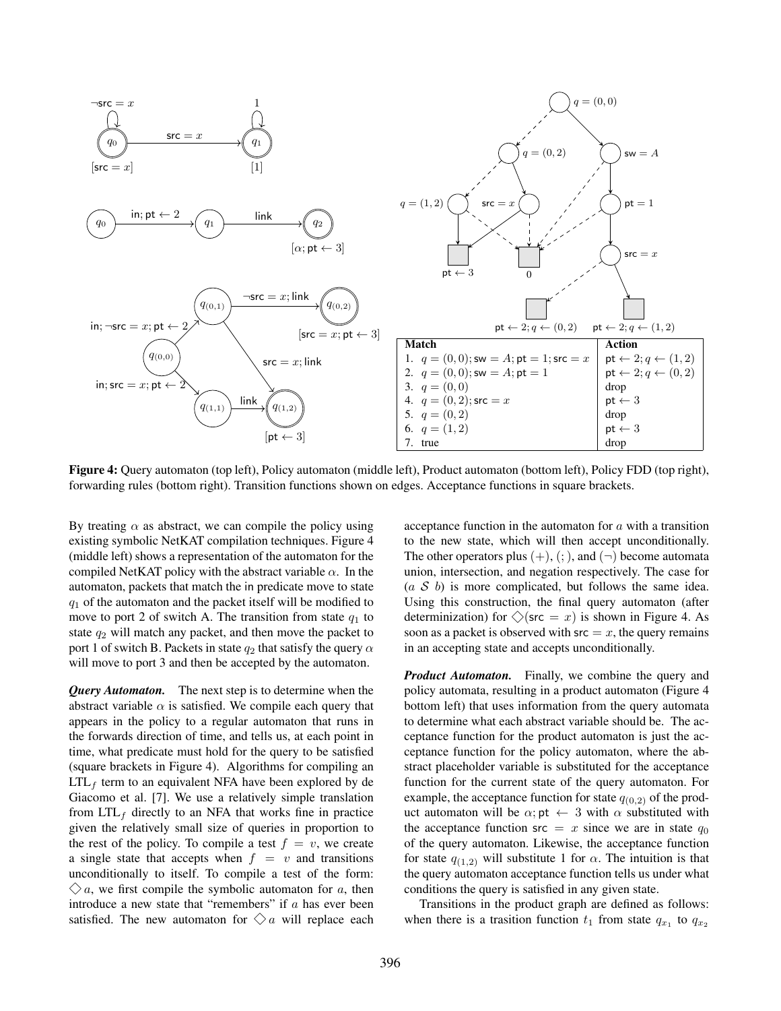<span id="page-10-0"></span>

Figure 4: Query automaton (top left), Policy automaton (middle left), Product automaton (bottom left), Policy FDD (top right), forwarding rules (bottom right). Transition functions shown on edges. Acceptance functions in square brackets.

By treating  $\alpha$  as abstract, we can compile the policy using existing symbolic NetKAT compilation techniques. Figure [4](#page-10-0) (middle left) shows a representation of the automaton for the compiled NetKAT policy with the abstract variable  $\alpha$ . In the automaton, packets that match the in predicate move to state  $q_1$  of the automaton and the packet itself will be modified to move to port 2 of switch A. The transition from state  $q_1$  to state  $q_2$  will match any packet, and then move the packet to port 1 of switch B. Packets in state  $q_2$  that satisfy the query  $\alpha$ will move to port 3 and then be accepted by the automaton.

*Query Automaton.* The next step is to determine when the abstract variable  $\alpha$  is satisfied. We compile each query that appears in the policy to a regular automaton that runs in the forwards direction of time, and tells us, at each point in time, what predicate must hold for the query to be satisfied (square brackets in Figure [4\)](#page-10-0). Algorithms for compiling an  $LTL<sub>f</sub>$  term to an equivalent NFA have been explored by de Giacomo et al. [\[7\]](#page-14-8). We use a relatively simple translation from  $LTL<sub>f</sub>$  directly to an NFA that works fine in practice given the relatively small size of queries in proportion to the rest of the policy. To compile a test  $f = v$ , we create a single state that accepts when  $f = v$  and transitions unconditionally to itself. To compile a test of the form:  $\Diamond a$ , we first compile the symbolic automaton for a, then introduce a new state that "remembers" if  $a$  has ever been satisfied. The new automaton for  $\Diamond a$  will replace each

acceptance function in the automaton for a with a transition to the new state, which will then accept unconditionally. The other operators plus  $(+)$ ,  $(;)$ , and  $(¬)$  become automata union, intersection, and negation respectively. The case for  $(a \mathcal{S} b)$  is more complicated, but follows the same idea. Using this construction, the final query automaton (after determinization) for  $\diamondsuit$  (src = x) is shown in Figure [4.](#page-10-0) As soon as a packet is observed with  $src = x$ , the query remains in an accepting state and accepts unconditionally.

*Product Automaton.* Finally, we combine the query and policy automata, resulting in a product automaton (Figure [4](#page-10-0) bottom left) that uses information from the query automata to determine what each abstract variable should be. The acceptance function for the product automaton is just the acceptance function for the policy automaton, where the abstract placeholder variable is substituted for the acceptance function for the current state of the query automaton. For example, the acceptance function for state  $q_{(0,2)}$  of the product automaton will be  $\alpha$ ; pt  $\leftarrow$  3 with  $\alpha$  substituted with the acceptance function src = x since we are in state  $q_0$ of the query automaton. Likewise, the acceptance function for state  $q_{(1,2)}$  will substitute 1 for  $\alpha$ . The intuition is that the query automaton acceptance function tells us under what conditions the query is satisfied in any given state.

Transitions in the product graph are defined as follows: when there is a trasition function  $t_1$  from state  $q_{x_1}$  to  $q_{x_2}$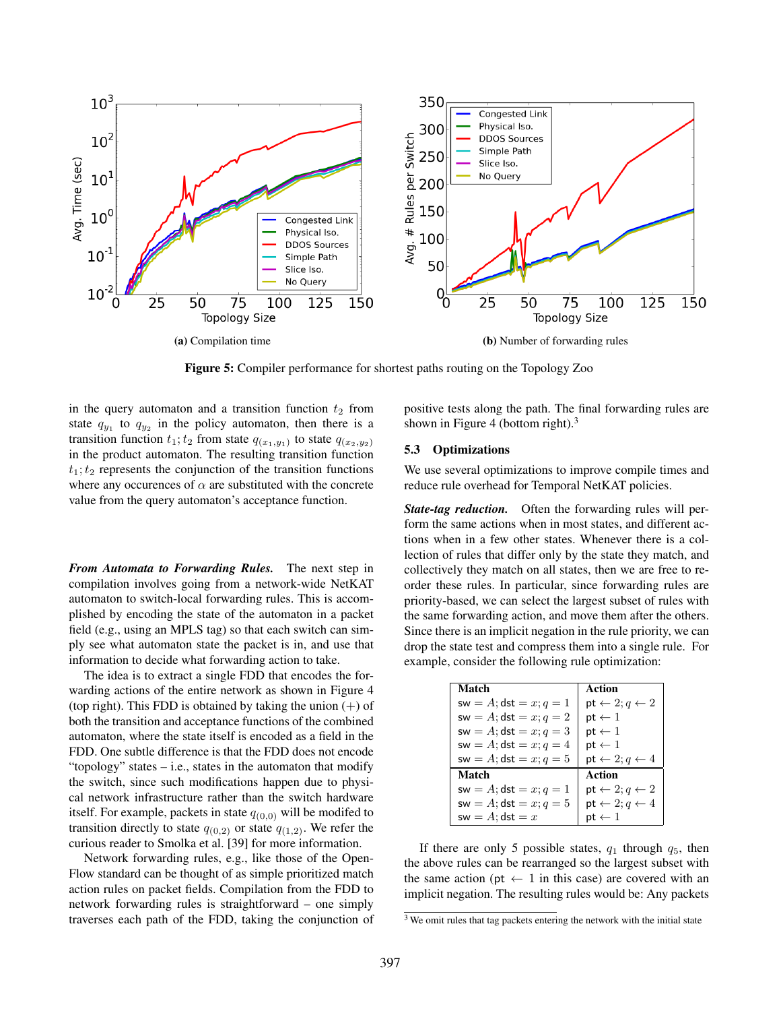<span id="page-11-1"></span>

Figure 5: Compiler performance for shortest paths routing on the Topology Zoo

in the query automaton and a transition function  $t_2$  from state  $q_{y_1}$  to  $q_{y_2}$  in the policy automaton, then there is a transition function  $t_1$ ;  $t_2$  from state  $q_{(x_1,y_1)}$  to state  $q_{(x_2,y_2)}$ in the product automaton. The resulting transition function  $t_1$ ;  $t_2$  represents the conjunction of the transition functions where any occurences of  $\alpha$  are substituted with the concrete value from the query automaton's acceptance function.

*From Automata to Forwarding Rules.* The next step in compilation involves going from a network-wide NetKAT automaton to switch-local forwarding rules. This is accomplished by encoding the state of the automaton in a packet field (e.g., using an MPLS tag) so that each switch can simply see what automaton state the packet is in, and use that information to decide what forwarding action to take.

The idea is to extract a single FDD that encodes the forwarding actions of the entire network as shown in Figure [4](#page-10-0) (top right). This FDD is obtained by taking the union  $(+)$  of both the transition and acceptance functions of the combined automaton, where the state itself is encoded as a field in the FDD. One subtle difference is that the FDD does not encode "topology" states  $-$  i.e., states in the automaton that modify the switch, since such modifications happen due to physical network infrastructure rather than the switch hardware itself. For example, packets in state  $q_{(0,0)}$  will be modifed to transition directly to state  $q_{(0,2)}$  or state  $q_{(1,2)}$ . We refer the curious reader to Smolka et al. [\[39\]](#page-15-10) for more information.

Network forwarding rules, e.g., like those of the Open-Flow standard can be thought of as simple prioritized match action rules on packet fields. Compilation from the FDD to network forwarding rules is straightforward – one simply traverses each path of the FDD, taking the conjunction of positive tests along the path. The final forwarding rules are shown in Figure [4](#page-10-0) (bottom right). $3$ 

### <span id="page-11-2"></span>5.3 Optimizations

We use several optimizations to improve compile times and reduce rule overhead for Temporal NetKAT policies.

*State-tag reduction.* Often the forwarding rules will perform the same actions when in most states, and different actions when in a few other states. Whenever there is a collection of rules that differ only by the state they match, and collectively they match on all states, then we are free to reorder these rules. In particular, since forwarding rules are priority-based, we can select the largest subset of rules with the same forwarding action, and move them after the others. Since there is an implicit negation in the rule priority, we can drop the state test and compress them into a single rule. For example, consider the following rule optimization:

| Match                             | Action                                     |
|-----------------------------------|--------------------------------------------|
| $sw = A; \textsf{dst} = x; q = 1$ | ${\sf pt} \leftarrow 2; q \leftarrow 2$    |
| $sw = A; \text{dst} = x; q = 2$   | $\mathsf{pt} \leftarrow 1$                 |
| $sw = A; \textsf{dst} = x; q = 3$ | ${\sf pt} \leftarrow 1$                    |
| sw = $A$ ; dst = $x$ ; $q = 4$    | $\mathsf{pt} \leftarrow 1$                 |
| $sw = A; \text{dst} = x; q = 5$   | ${\sf pt} \leftarrow 2; q \leftarrow 4$    |
| Match                             | Action                                     |
| $sw = A; \text{dst} = x; q = 1$   | ${\sf pt} \leftarrow 2; q \leftarrow 2$    |
| $sw = A; \text{dst} = x; q = 5$   | $\mathsf{pt} \leftarrow 2; q \leftarrow 4$ |
| $sw = A; \text{dst} = x$          | ${\sf pt} \leftarrow 1$                    |

If there are only 5 possible states,  $q_1$  through  $q_5$ , then the above rules can be rearranged so the largest subset with the same action (pt  $\leftarrow$  1 in this case) are covered with an implicit negation. The resulting rules would be: Any packets

<span id="page-11-0"></span><sup>3</sup> We omit rules that tag packets entering the network with the initial state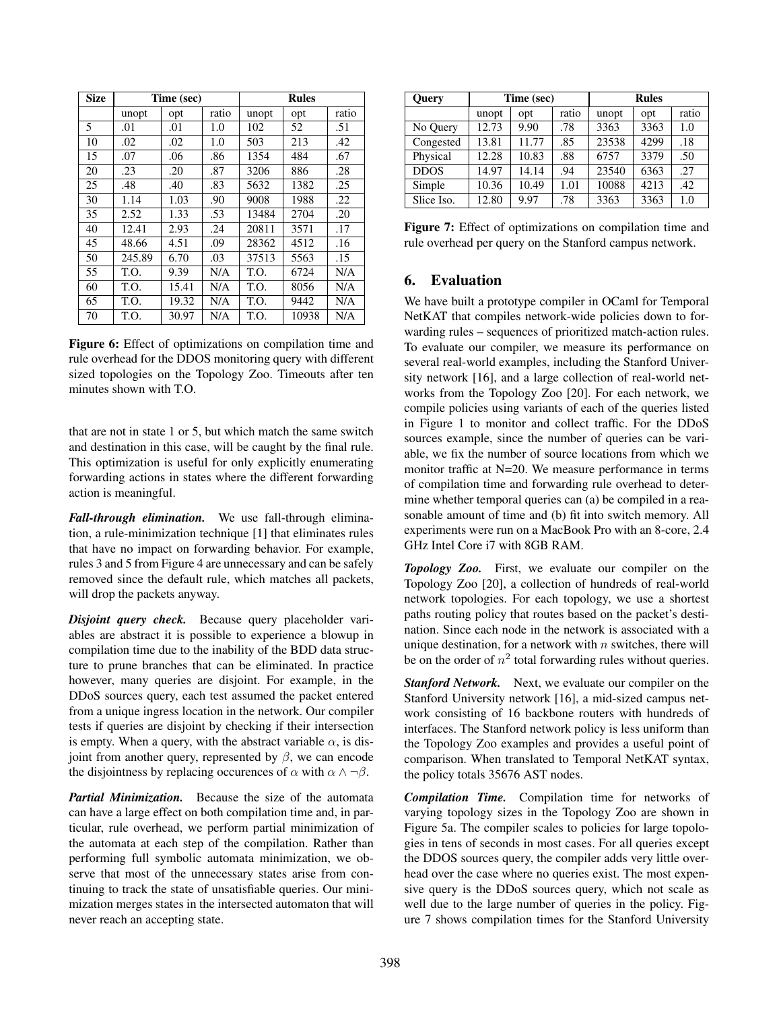<span id="page-12-1"></span>

| <b>Size</b> | Time (sec) |       |       | <b>Rules</b> |       |       |
|-------------|------------|-------|-------|--------------|-------|-------|
|             | unopt      | opt   | ratio | unopt        | opt   | ratio |
| 5           | .01        | .01   | 1.0   | 102          | 52    | .51   |
| 10          | .02        | .02   | 1.0   | 503          | 213   | .42   |
| 15          | .07        | .06   | .86   | 1354         | 484   | .67   |
| 20          | .23        | .20   | .87   | 3206         | 886   | .28   |
| 25          | .48        | .40   | .83   | 5632         | 1382  | .25   |
| 30          | 1.14       | 1.03  | .90   | 9008         | 1988  | .22   |
| 35          | 2.52       | 1.33  | .53   | 13484        | 2704  | .20   |
| 40          | 12.41      | 2.93  | .24   | 20811        | 3571  | .17   |
| 45          | 48.66      | 4.51  | .09   | 28362        | 4512  | .16   |
| 50          | 245.89     | 6.70  | .03   | 37513        | 5563  | .15   |
| 55          | T.O.       | 9.39  | N/A   | T.O.         | 6724  | N/A   |
| 60          | T.O.       | 15.41 | N/A   | T.O.         | 8056  | N/A   |
| 65          | T.O.       | 19.32 | N/A   | T.O.         | 9442  | N/A   |
| 70          | T.O.       | 30.97 | N/A   | T.O.         | 10938 | N/A   |

Figure 6: Effect of optimizations on compilation time and rule overhead for the DDOS monitoring query with different sized topologies on the Topology Zoo. Timeouts after ten minutes shown with T.O.

that are not in state 1 or 5, but which match the same switch and destination in this case, will be caught by the final rule. This optimization is useful for only explicitly enumerating forwarding actions in states where the different forwarding action is meaningful.

*Fall-through elimination.* We use fall-through elimination, a rule-minimization technique [\[1\]](#page-14-1) that eliminates rules that have no impact on forwarding behavior. For example, rules 3 and 5 from Figure [4](#page-10-0) are unnecessary and can be safely removed since the default rule, which matches all packets, will drop the packets anyway.

*Disjoint query check.* Because query placeholder variables are abstract it is possible to experience a blowup in compilation time due to the inability of the BDD data structure to prune branches that can be eliminated. In practice however, many queries are disjoint. For example, in the DDoS sources query, each test assumed the packet entered from a unique ingress location in the network. Our compiler tests if queries are disjoint by checking if their intersection is empty. When a query, with the abstract variable  $\alpha$ , is disjoint from another query, represented by  $\beta$ , we can encode the disjointness by replacing occurences of  $\alpha$  with  $\alpha \wedge \neg \beta$ .

*Partial Minimization.* Because the size of the automata can have a large effect on both compilation time and, in particular, rule overhead, we perform partial minimization of the automata at each step of the compilation. Rather than performing full symbolic automata minimization, we observe that most of the unnecessary states arise from continuing to track the state of unsatisfiable queries. Our minimization merges states in the intersected automaton that will never reach an accepting state.

<span id="page-12-0"></span>

| <b>Query</b> | Time (sec) |       |       | <b>Rules</b> |      |       |
|--------------|------------|-------|-------|--------------|------|-------|
|              | unopt      | opt   | ratio | unopt        | opt  | ratio |
| No Query     | 12.73      | 9.90  | .78   | 3363         | 3363 | 1.0   |
| Congested    | 13.81      | 11.77 | .85   | 23538        | 4299 | .18   |
| Physical     | 12.28      | 10.83 | .88   | 6757         | 3379 | .50   |
| <b>DDOS</b>  | 14.97      | 14.14 | .94   | 23540        | 6363 | .27   |
| Simple       | 10.36      | 10.49 | 1.01  | 10088        | 4213 | .42   |
| Slice Iso.   | 12.80      | 9.97  | .78   | 3363         | 3363 | 1.0   |

Figure 7: Effect of optimizations on compilation time and rule overhead per query on the Stanford campus network.

# 6. Evaluation

We have built a prototype compiler in OCaml for Temporal NetKAT that compiles network-wide policies down to forwarding rules – sequences of prioritized match-action rules. To evaluate our compiler, we measure its performance on several real-world examples, including the Stanford University network [\[16\]](#page-14-13), and a large collection of real-world networks from the Topology Zoo [\[20\]](#page-15-15). For each network, we compile policies using variants of each of the queries listed in Figure [1](#page-3-0) to monitor and collect traffic. For the DDoS sources example, since the number of queries can be variable, we fix the number of source locations from which we monitor traffic at N=20. We measure performance in terms of compilation time and forwarding rule overhead to determine whether temporal queries can (a) be compiled in a reasonable amount of time and (b) fit into switch memory. All experiments were run on a MacBook Pro with an 8-core, 2.4 GHz Intel Core i7 with 8GB RAM.

*Topology Zoo.* First, we evaluate our compiler on the Topology Zoo [\[20\]](#page-15-15), a collection of hundreds of real-world network topologies. For each topology, we use a shortest paths routing policy that routes based on the packet's destination. Since each node in the network is associated with a unique destination, for a network with  $n$  switches, there will be on the order of  $n^2$  total forwarding rules without queries.

*Stanford Network.* Next, we evaluate our compiler on the Stanford University network [\[16\]](#page-14-13), a mid-sized campus network consisting of 16 backbone routers with hundreds of interfaces. The Stanford network policy is less uniform than the Topology Zoo examples and provides a useful point of comparison. When translated to Temporal NetKAT syntax, the policy totals 35676 AST nodes.

*Compilation Time.* Compilation time for networks of varying topology sizes in the Topology Zoo are shown in Figure [5a.](#page-11-1) The compiler scales to policies for large topologies in tens of seconds in most cases. For all queries except the DDOS sources query, the compiler adds very little overhead over the case where no queries exist. The most expensive query is the DDoS sources query, which not scale as well due to the large number of queries in the policy. Figure [7](#page-12-0) shows compilation times for the Stanford University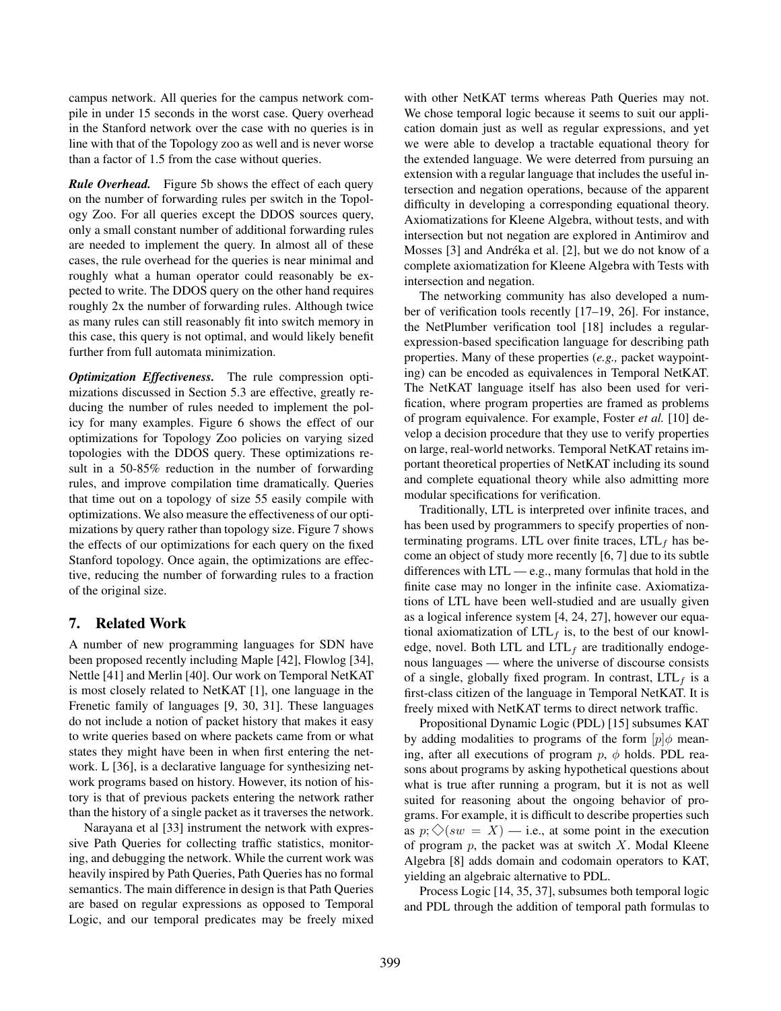campus network. All queries for the campus network compile in under 15 seconds in the worst case. Query overhead in the Stanford network over the case with no queries is in line with that of the Topology zoo as well and is never worse than a factor of 1.5 from the case without queries.

*Rule Overhead.* Figure [5b](#page-11-1) shows the effect of each query on the number of forwarding rules per switch in the Topology Zoo. For all queries except the DDOS sources query, only a small constant number of additional forwarding rules are needed to implement the query. In almost all of these cases, the rule overhead for the queries is near minimal and roughly what a human operator could reasonably be expected to write. The DDOS query on the other hand requires roughly 2x the number of forwarding rules. Although twice as many rules can still reasonably fit into switch memory in this case, this query is not optimal, and would likely benefit further from full automata minimization.

*Optimization Effectiveness.* The rule compression optimizations discussed in Section [5.3](#page-11-2) are effective, greatly reducing the number of rules needed to implement the policy for many examples. Figure [6](#page-12-1) shows the effect of our optimizations for Topology Zoo policies on varying sized topologies with the DDOS query. These optimizations result in a 50-85% reduction in the number of forwarding rules, and improve compilation time dramatically. Queries that time out on a topology of size 55 easily compile with optimizations. We also measure the effectiveness of our optimizations by query rather than topology size. Figure [7](#page-12-0) shows the effects of our optimizations for each query on the fixed Stanford topology. Once again, the optimizations are effective, reducing the number of forwarding rules to a fraction of the original size.

# 7. Related Work

A number of new programming languages for SDN have been proposed recently including Maple [\[42\]](#page-15-3), Flowlog [\[34\]](#page-15-1), Nettle [\[41\]](#page-15-16) and Merlin [\[40\]](#page-15-17). Our work on Temporal NetKAT is most closely related to NetKAT [\[1\]](#page-14-1), one language in the Frenetic family of languages [\[9,](#page-14-0) [30,](#page-15-18) [31\]](#page-15-11). These languages do not include a notion of packet history that makes it easy to write queries based on where packets came from or what states they might have been in when first entering the net-work. L [\[36\]](#page-15-2), is a declarative language for synthesizing network programs based on history. However, its notion of history is that of previous packets entering the network rather than the history of a single packet as it traverses the network.

Narayana et al [\[33\]](#page-15-6) instrument the network with expressive Path Queries for collecting traffic statistics, monitoring, and debugging the network. While the current work was heavily inspired by Path Queries, Path Queries has no formal semantics. The main difference in design is that Path Queries are based on regular expressions as opposed to Temporal Logic, and our temporal predicates may be freely mixed

with other NetKAT terms whereas Path Queries may not. We chose temporal logic because it seems to suit our application domain just as well as regular expressions, and yet we were able to develop a tractable equational theory for the extended language. We were deterred from pursuing an extension with a regular language that includes the useful intersection and negation operations, because of the apparent difficulty in developing a corresponding equational theory. Axiomatizations for Kleene Algebra, without tests, and with intersection but not negation are explored in Antimirov and Mosses [\[3\]](#page-14-14) and Andréka et al. [\[2\]](#page-14-15), but we do not know of a complete axiomatization for Kleene Algebra with Tests with intersection and negation.

The networking community has also developed a number of verification tools recently [\[17](#page-14-2)[–19,](#page-14-5) [26\]](#page-15-19). For instance, the NetPlumber verification tool [\[18\]](#page-14-3) includes a regularexpression-based specification language for describing path properties. Many of these properties (*e.g.,* packet waypointing) can be encoded as equivalences in Temporal NetKAT. The NetKAT language itself has also been used for verification, where program properties are framed as problems of program equivalence. For example, Foster *et al.* [\[10\]](#page-14-4) develop a decision procedure that they use to verify properties on large, real-world networks. Temporal NetKAT retains important theoretical properties of NetKAT including its sound and complete equational theory while also admitting more modular specifications for verification.

Traditionally, LTL is interpreted over infinite traces, and has been used by programmers to specify properties of nonterminating programs. LTL over finite traces,  $LTL<sub>f</sub>$  has become an object of study more recently [\[6,](#page-14-7) [7\]](#page-14-8) due to its subtle differences with  $LTL$  — e.g., many formulas that hold in the finite case may no longer in the infinite case. Axiomatizations of LTL have been well-studied and are usually given as a logical inference system [\[4,](#page-14-10) [24,](#page-15-13) [27\]](#page-15-14), however our equational axiomatization of  $LTL<sub>f</sub>$  is, to the best of our knowledge, novel. Both LTL and  $LTL<sub>f</sub>$  are traditionally endogenous languages — where the universe of discourse consists of a single, globally fixed program. In contrast,  $LTL_f$  is a first-class citizen of the language in Temporal NetKAT. It is freely mixed with NetKAT terms to direct network traffic.

Propositional Dynamic Logic (PDL) [\[15\]](#page-14-16) subsumes KAT by adding modalities to programs of the form  $[p]\phi$  meaning, after all executions of program  $p$ ,  $\phi$  holds. PDL reasons about programs by asking hypothetical questions about what is true after running a program, but it is not as well suited for reasoning about the ongoing behavior of programs. For example, it is difficult to describe properties such as  $p$ ;  $\Diamond$ (sw = X) — i.e., at some point in the execution of program  $p$ , the packet was at switch  $X$ . Modal Kleene Algebra [\[8\]](#page-14-17) adds domain and codomain operators to KAT, yielding an algebraic alternative to PDL.

Process Logic [\[14,](#page-14-18) [35,](#page-15-20) [37\]](#page-15-21), subsumes both temporal logic and PDL through the addition of temporal path formulas to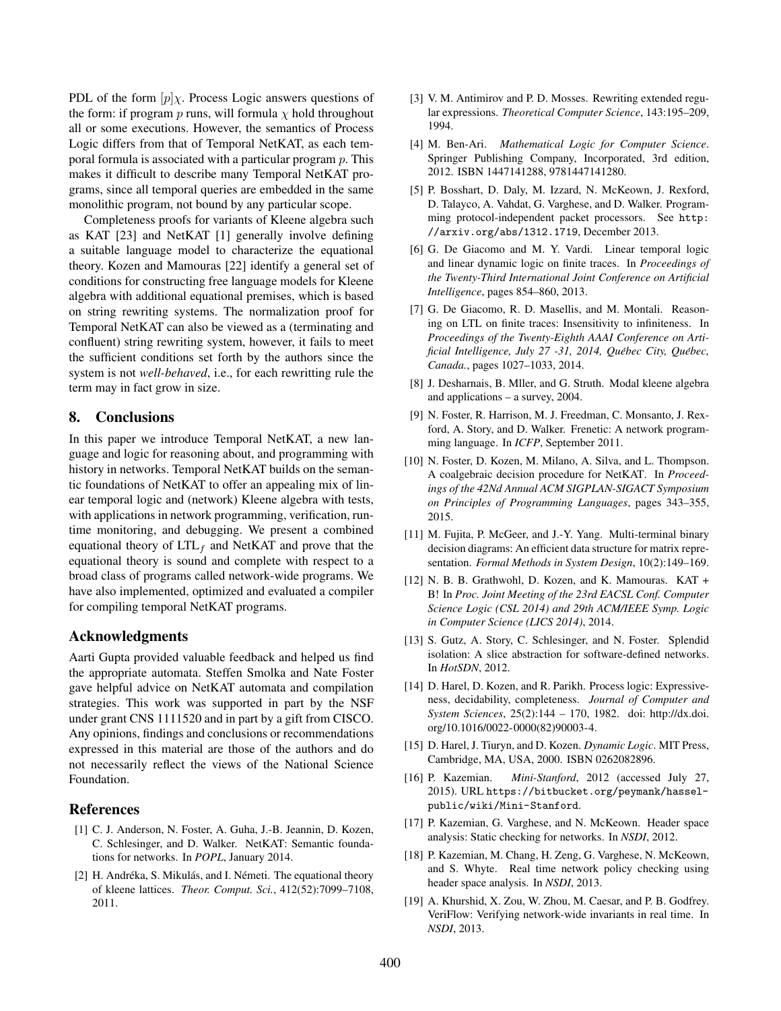PDL of the form  $[p] \chi$ . Process Logic answers questions of the form: if program p runs, will formula  $\chi$  hold throughout all or some executions. However, the semantics of Process Logic differs from that of Temporal NetKAT, as each temporal formula is associated with a particular program p. This makes it difficult to describe many Temporal NetKAT programs, since all temporal queries are embedded in the same monolithic program, not bound by any particular scope.

Completeness proofs for variants of Kleene algebra such as KAT [\[23\]](#page-15-22) and NetKAT [\[1\]](#page-14-1) generally involve defining a suitable language model to characterize the equational theory. Kozen and Mamouras [\[22\]](#page-15-23) identify a general set of conditions for constructing free language models for Kleene algebra with additional equational premises, which is based on string rewriting systems. The normalization proof for Temporal NetKAT can also be viewed as a (terminating and confluent) string rewriting system, however, it fails to meet the sufficient conditions set forth by the authors since the system is not *well-behaved*, i.e., for each rewritting rule the term may in fact grow in size.

# 8. Conclusions

In this paper we introduce Temporal NetKAT, a new language and logic for reasoning about, and programming with history in networks. Temporal NetKAT builds on the semantic foundations of NetKAT to offer an appealing mix of linear temporal logic and (network) Kleene algebra with tests, with applications in network programming, verification, runtime monitoring, and debugging. We present a combined equational theory of  $LTL<sub>f</sub>$  and NetKAT and prove that the equational theory is sound and complete with respect to a broad class of programs called network-wide programs. We have also implemented, optimized and evaluated a compiler for compiling temporal NetKAT programs.

#### Acknowledgments

Aarti Gupta provided valuable feedback and helped us find the appropriate automata. Steffen Smolka and Nate Foster gave helpful advice on NetKAT automata and compilation strategies. This work was supported in part by the NSF under grant CNS 1111520 and in part by a gift from CISCO. Any opinions, findings and conclusions or recommendations expressed in this material are those of the authors and do not necessarily reflect the views of the National Science Foundation.

### References

- <span id="page-14-1"></span>[1] C. J. Anderson, N. Foster, A. Guha, J.-B. Jeannin, D. Kozen, C. Schlesinger, and D. Walker. NetKAT: Semantic foundations for networks. In *POPL*, January 2014.
- <span id="page-14-15"></span>[2] H. Andréka, S. Mikulás, and I. Németi. The equational theory of kleene lattices. *Theor. Comput. Sci.*, 412(52):7099–7108, 2011.
- <span id="page-14-14"></span>[3] V. M. Antimirov and P. D. Mosses. Rewriting extended regular expressions. *Theoretical Computer Science*, 143:195–209, 1994.
- <span id="page-14-10"></span>[4] M. Ben-Ari. *Mathematical Logic for Computer Science*. Springer Publishing Company, Incorporated, 3rd edition, 2012. ISBN 1447141288, 9781447141280.
- <span id="page-14-11"></span>[5] P. Bosshart, D. Daly, M. Izzard, N. McKeown, J. Rexford, D. Talayco, A. Vahdat, G. Varghese, and D. Walker. Programming protocol-independent packet processors. See [http:](http://arxiv.org/abs/1312.1719) [//arxiv.org/abs/1312.1719](http://arxiv.org/abs/1312.1719), December 2013.
- <span id="page-14-7"></span>[6] G. De Giacomo and M. Y. Vardi. Linear temporal logic and linear dynamic logic on finite traces. In *Proceedings of the Twenty-Third International Joint Conference on Artificial Intelligence*, pages 854–860, 2013.
- <span id="page-14-8"></span>[7] G. De Giacomo, R. D. Masellis, and M. Montali. Reasoning on LTL on finite traces: Insensitivity to infiniteness. In *Proceedings of the Twenty-Eighth AAAI Conference on Artificial Intelligence, July 27 -31, 2014, Québec City, Québec, Canada.*, pages 1027–1033, 2014.
- <span id="page-14-17"></span>[8] J. Desharnais, B. Mller, and G. Struth. Modal kleene algebra and applications – a survey, 2004.
- <span id="page-14-0"></span>[9] N. Foster, R. Harrison, M. J. Freedman, C. Monsanto, J. Rexford, A. Story, and D. Walker. Frenetic: A network programming language. In *ICFP*, September 2011.
- <span id="page-14-4"></span>[10] N. Foster, D. Kozen, M. Milano, A. Silva, and L. Thompson. A coalgebraic decision procedure for NetKAT. In *Proceedings of the 42Nd Annual ACM SIGPLAN-SIGACT Symposium on Principles of Programming Languages*, pages 343–355, 2015.
- <span id="page-14-12"></span>[11] M. Fujita, P. McGeer, and J.-Y. Yang. Multi-terminal binary decision diagrams: An efficient data structure for matrix representation. *Formal Methods in System Design*, 10(2):149–169.
- <span id="page-14-9"></span>[12] N. B. B. Grathwohl, D. Kozen, and K. Mamouras. KAT + B! In *Proc. Joint Meeting of the 23rd EACSL Conf. Computer Science Logic (CSL 2014) and 29th ACM/IEEE Symp. Logic in Computer Science (LICS 2014)*, 2014.
- <span id="page-14-6"></span>[13] S. Gutz, A. Story, C. Schlesinger, and N. Foster. Splendid isolation: A slice abstraction for software-defined networks. In *HotSDN*, 2012.
- <span id="page-14-18"></span>[14] D. Harel, D. Kozen, and R. Parikh. Process logic: Expressiveness, decidability, completeness. *Journal of Computer and System Sciences*, 25(2):144 – 170, 1982. doi: http://dx.doi. org/10.1016/0022-0000(82)90003-4.
- <span id="page-14-16"></span>[15] D. Harel, J. Tiuryn, and D. Kozen. *Dynamic Logic*. MIT Press, Cambridge, MA, USA, 2000. ISBN 0262082896.
- <span id="page-14-13"></span>[16] P. Kazemian. *Mini-Stanford*, 2012 (accessed July 27, 2015). URL [https://bitbucket.org/peymank/hassel](https://bitbucket.org/peymank/hassel-public/wiki/Mini-Stanford)[public/wiki/Mini-Stanford](https://bitbucket.org/peymank/hassel-public/wiki/Mini-Stanford).
- <span id="page-14-2"></span>[17] P. Kazemian, G. Varghese, and N. McKeown. Header space analysis: Static checking for networks. In *NSDI*, 2012.
- <span id="page-14-3"></span>[18] P. Kazemian, M. Chang, H. Zeng, G. Varghese, N. McKeown, and S. Whyte. Real time network policy checking using header space analysis. In *NSDI*, 2013.
- <span id="page-14-5"></span>[19] A. Khurshid, X. Zou, W. Zhou, M. Caesar, and P. B. Godfrey. VeriFlow: Verifying network-wide invariants in real time. In *NSDI*, 2013.